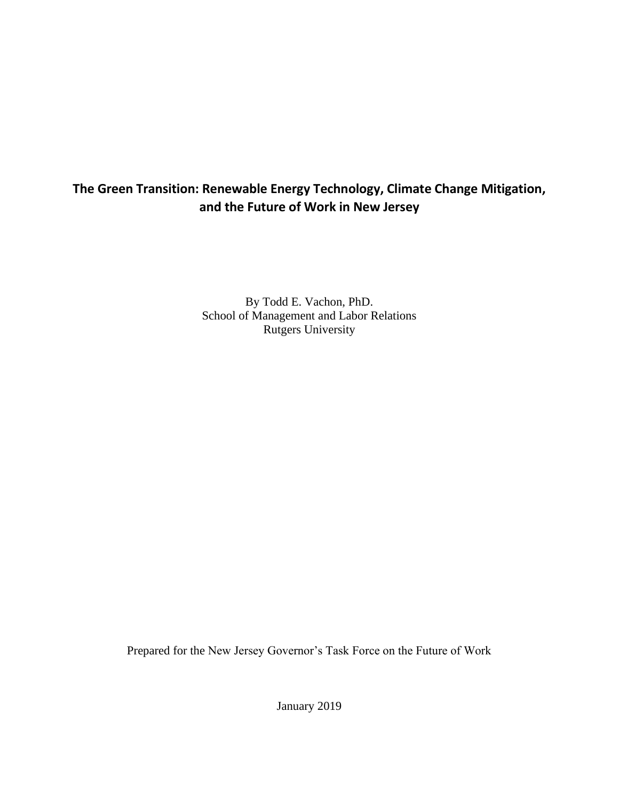# **The Green Transition: Renewable Energy Technology, Climate Change Mitigation, and the Future of Work in New Jersey**

By Todd E. Vachon, PhD. School of Management and Labor Relations Rutgers University

Prepared for the New Jersey Governor's Task Force on the Future of Work

January 2019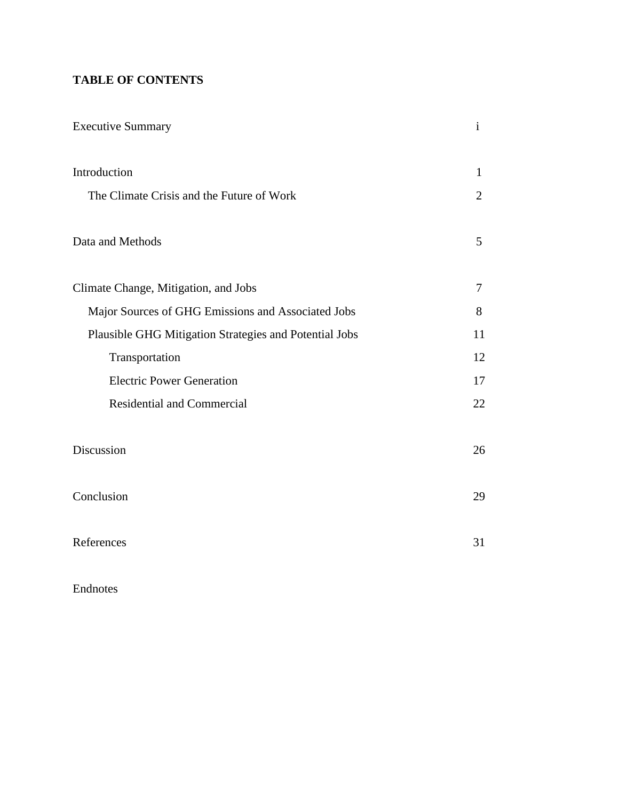# **TABLE OF CONTENTS**

| <b>Executive Summary</b>                               | $\mathbf{i}$    |
|--------------------------------------------------------|-----------------|
| Introduction                                           | 1               |
| The Climate Crisis and the Future of Work              | $\overline{2}$  |
| Data and Methods                                       | $5\overline{)}$ |
| Climate Change, Mitigation, and Jobs                   | $\overline{7}$  |
| Major Sources of GHG Emissions and Associated Jobs     | 8               |
| Plausible GHG Mitigation Strategies and Potential Jobs | 11              |
| Transportation                                         | 12              |
| <b>Electric Power Generation</b>                       | 17              |
| <b>Residential and Commercial</b>                      | 22              |
| Discussion                                             | 26              |
| Conclusion                                             | 29              |
| References                                             | 31              |

Endnotes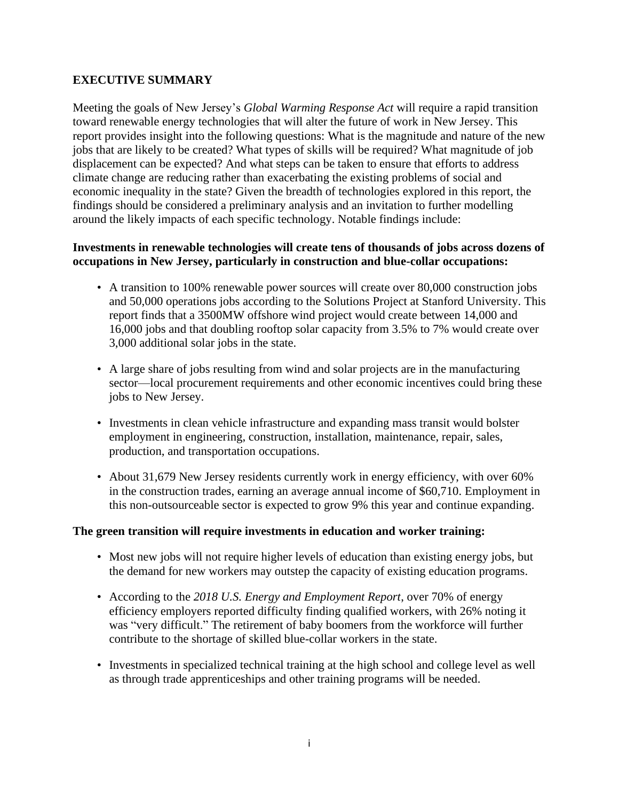# **EXECUTIVE SUMMARY**

Meeting the goals of New Jersey's *Global Warming Response Act* will require a rapid transition toward renewable energy technologies that will alter the future of work in New Jersey. This report provides insight into the following questions: What is the magnitude and nature of the new jobs that are likely to be created? What types of skills will be required? What magnitude of job displacement can be expected? And what steps can be taken to ensure that efforts to address climate change are reducing rather than exacerbating the existing problems of social and economic inequality in the state? Given the breadth of technologies explored in this report, the findings should be considered a preliminary analysis and an invitation to further modelling around the likely impacts of each specific technology. Notable findings include:

# **Investments in renewable technologies will create tens of thousands of jobs across dozens of occupations in New Jersey, particularly in construction and blue-collar occupations:**

- A transition to 100% renewable power sources will create over 80,000 construction jobs and 50,000 operations jobs according to the Solutions Project at Stanford University. This report finds that a 3500MW offshore wind project would create between 14,000 and 16,000 jobs and that doubling rooftop solar capacity from 3.5% to 7% would create over 3,000 additional solar jobs in the state.
- A large share of jobs resulting from wind and solar projects are in the manufacturing sector—local procurement requirements and other economic incentives could bring these jobs to New Jersey.
- Investments in clean vehicle infrastructure and expanding mass transit would bolster employment in engineering, construction, installation, maintenance, repair, sales, production, and transportation occupations.
- About 31,679 New Jersey residents currently work in energy efficiency, with over 60% in the construction trades, earning an average annual income of \$60,710. Employment in this non-outsourceable sector is expected to grow 9% this year and continue expanding.

# **The green transition will require investments in education and worker training:**

- Most new jobs will not require higher levels of education than existing energy jobs, but the demand for new workers may outstep the capacity of existing education programs.
- According to the *2018 U.S. Energy and Employment Report*, over 70% of energy efficiency employers reported difficulty finding qualified workers, with 26% noting it was "very difficult." The retirement of baby boomers from the workforce will further contribute to the shortage of skilled blue-collar workers in the state.
- Investments in specialized technical training at the high school and college level as well as through trade apprenticeships and other training programs will be needed.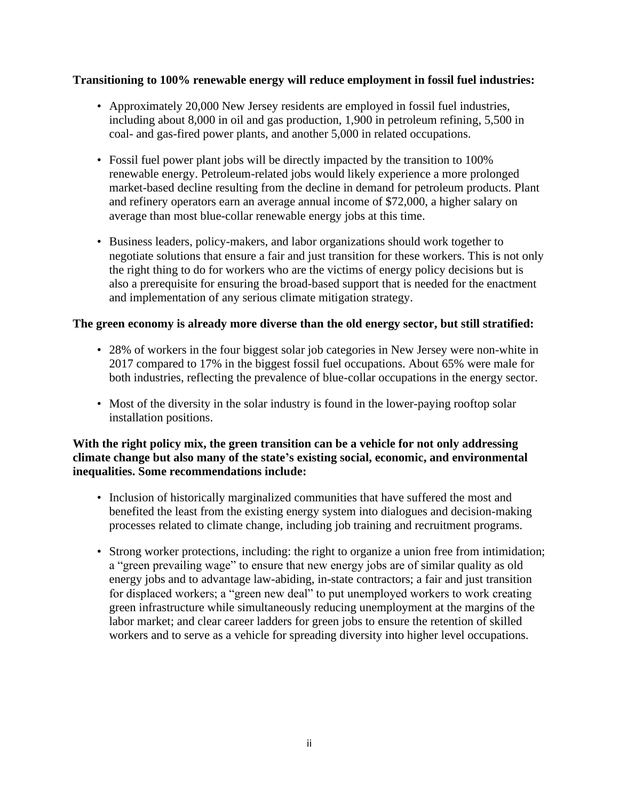# **Transitioning to 100% renewable energy will reduce employment in fossil fuel industries:**

- Approximately 20,000 New Jersey residents are employed in fossil fuel industries, including about 8,000 in oil and gas production, 1,900 in petroleum refining, 5,500 in coal- and gas-fired power plants, and another 5,000 in related occupations.
- Fossil fuel power plant jobs will be directly impacted by the transition to 100% renewable energy. Petroleum-related jobs would likely experience a more prolonged market-based decline resulting from the decline in demand for petroleum products. Plant and refinery operators earn an average annual income of \$72,000, a higher salary on average than most blue-collar renewable energy jobs at this time.
- Business leaders, policy-makers, and labor organizations should work together to negotiate solutions that ensure a fair and just transition for these workers. This is not only the right thing to do for workers who are the victims of energy policy decisions but is also a prerequisite for ensuring the broad-based support that is needed for the enactment and implementation of any serious climate mitigation strategy.

# **The green economy is already more diverse than the old energy sector, but still stratified:**

- 28% of workers in the four biggest solar job categories in New Jersey were non-white in 2017 compared to 17% in the biggest fossil fuel occupations. About 65% were male for both industries, reflecting the prevalence of blue-collar occupations in the energy sector.
- Most of the diversity in the solar industry is found in the lower-paying rooftop solar installation positions.

# **With the right policy mix, the green transition can be a vehicle for not only addressing climate change but also many of the state's existing social, economic, and environmental inequalities. Some recommendations include:**

- Inclusion of historically marginalized communities that have suffered the most and benefited the least from the existing energy system into dialogues and decision-making processes related to climate change, including job training and recruitment programs.
- Strong worker protections, including: the right to organize a union free from intimidation; a "green prevailing wage" to ensure that new energy jobs are of similar quality as old energy jobs and to advantage law-abiding, in-state contractors; a fair and just transition for displaced workers; a "green new deal" to put unemployed workers to work creating green infrastructure while simultaneously reducing unemployment at the margins of the labor market; and clear career ladders for green jobs to ensure the retention of skilled workers and to serve as a vehicle for spreading diversity into higher level occupations.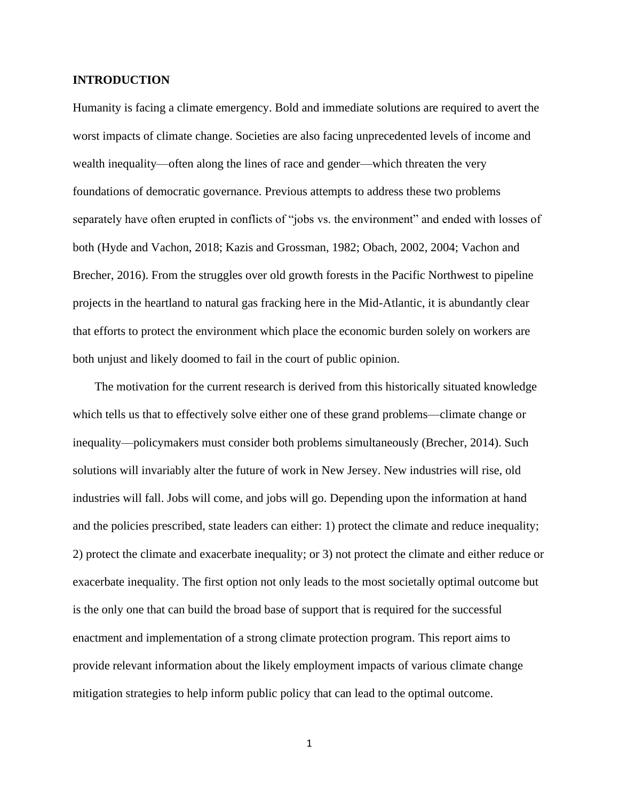#### **INTRODUCTION**

Humanity is facing a climate emergency. Bold and immediate solutions are required to avert the worst impacts of climate change. Societies are also facing unprecedented levels of income and wealth inequality—often along the lines of race and gender—which threaten the very foundations of democratic governance. Previous attempts to address these two problems separately have often erupted in conflicts of "jobs vs. the environment" and ended with losses of both (Hyde and Vachon, 2018; Kazis and Grossman, 1982; Obach, 2002, 2004; Vachon and Brecher, 2016). From the struggles over old growth forests in the Pacific Northwest to pipeline projects in the heartland to natural gas fracking here in the Mid-Atlantic, it is abundantly clear that efforts to protect the environment which place the economic burden solely on workers are both unjust and likely doomed to fail in the court of public opinion.

The motivation for the current research is derived from this historically situated knowledge which tells us that to effectively solve either one of these grand problems—climate change or inequality—policymakers must consider both problems simultaneously (Brecher, 2014). Such solutions will invariably alter the future of work in New Jersey. New industries will rise, old industries will fall. Jobs will come, and jobs will go. Depending upon the information at hand and the policies prescribed, state leaders can either: 1) protect the climate and reduce inequality; 2) protect the climate and exacerbate inequality; or 3) not protect the climate and either reduce or exacerbate inequality. The first option not only leads to the most societally optimal outcome but is the only one that can build the broad base of support that is required for the successful enactment and implementation of a strong climate protection program. This report aims to provide relevant information about the likely employment impacts of various climate change mitigation strategies to help inform public policy that can lead to the optimal outcome.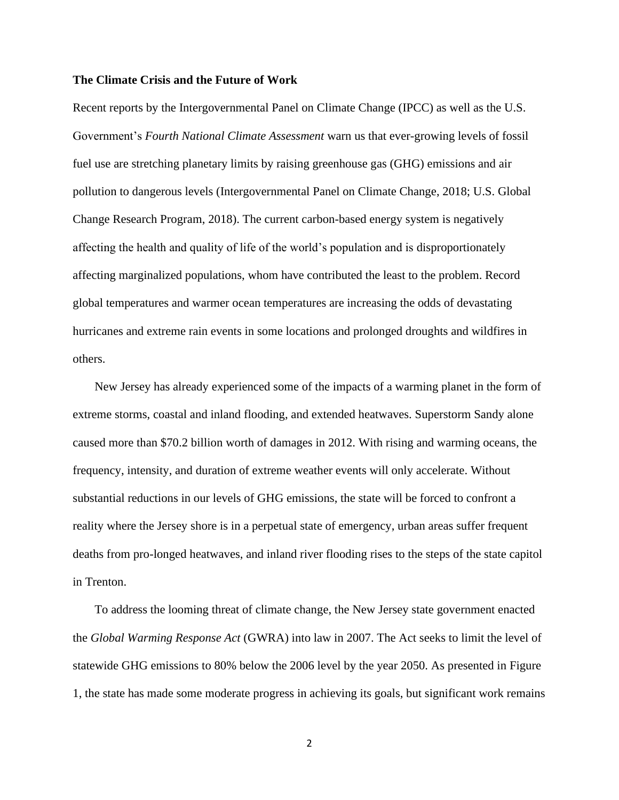#### **The Climate Crisis and the Future of Work**

Recent reports by the Intergovernmental Panel on Climate Change (IPCC) as well as the U.S. Government's *Fourth National Climate Assessment* warn us that ever-growing levels of fossil fuel use are stretching planetary limits by raising greenhouse gas (GHG) emissions and air pollution to dangerous levels (Intergovernmental Panel on Climate Change, 2018; U.S. Global Change Research Program, 2018). The current carbon-based energy system is negatively affecting the health and quality of life of the world's population and is disproportionately affecting marginalized populations, whom have contributed the least to the problem. Record global temperatures and warmer ocean temperatures are increasing the odds of devastating hurricanes and extreme rain events in some locations and prolonged droughts and wildfires in others.

New Jersey has already experienced some of the impacts of a warming planet in the form of extreme storms, coastal and inland flooding, and extended heatwaves. Superstorm Sandy alone caused more than \$70.2 billion worth of damages in 2012. With rising and warming oceans, the frequency, intensity, and duration of extreme weather events will only accelerate. Without substantial reductions in our levels of GHG emissions, the state will be forced to confront a reality where the Jersey shore is in a perpetual state of emergency, urban areas suffer frequent deaths from pro-longed heatwaves, and inland river flooding rises to the steps of the state capitol in Trenton.

To address the looming threat of climate change, the New Jersey state government enacted the *Global Warming Response Act* (GWRA) into law in 2007. The Act seeks to limit the level of statewide GHG emissions to 80% below the 2006 level by the year 2050. As presented in Figure 1, the state has made some moderate progress in achieving its goals, but significant work remains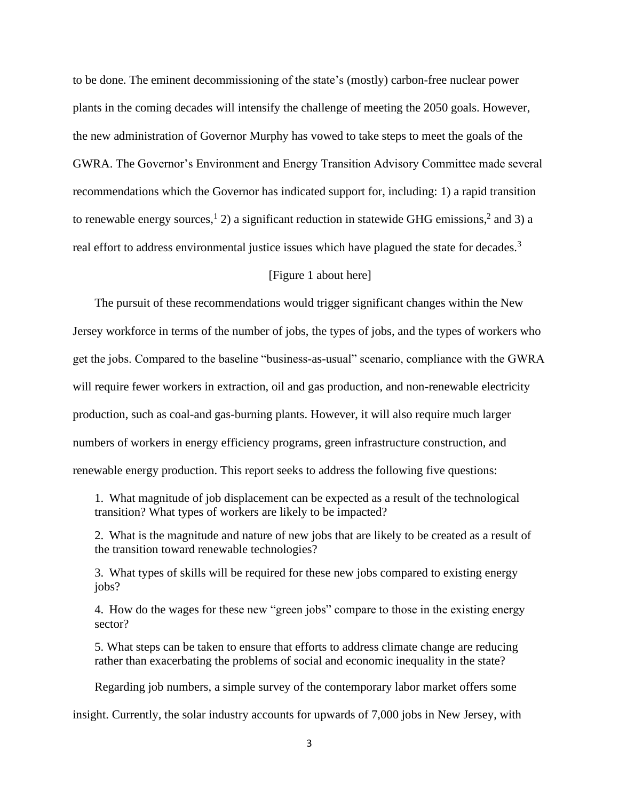to be done. The eminent decommissioning of the state's (mostly) carbon-free nuclear power plants in the coming decades will intensify the challenge of meeting the 2050 goals. However, the new administration of Governor Murphy has vowed to take steps to meet the goals of the GWRA. The Governor's Environment and Energy Transition Advisory Committee made several recommendations which the Governor has indicated support for, including: 1) a rapid transition to renewable energy sources,<sup>1</sup> 2) a significant reduction in statewide GHG emissions,<sup>2</sup> and 3) a real effort to address environmental justice issues which have plagued the state for decades.<sup>3</sup>

#### [Figure 1 about here]

The pursuit of these recommendations would trigger significant changes within the New Jersey workforce in terms of the number of jobs, the types of jobs, and the types of workers who get the jobs. Compared to the baseline "business-as-usual" scenario, compliance with the GWRA will require fewer workers in extraction, oil and gas production, and non-renewable electricity production, such as coal-and gas-burning plants. However, it will also require much larger numbers of workers in energy efficiency programs, green infrastructure construction, and renewable energy production. This report seeks to address the following five questions:

1. What magnitude of job displacement can be expected as a result of the technological transition? What types of workers are likely to be impacted?

2. What is the magnitude and nature of new jobs that are likely to be created as a result of the transition toward renewable technologies?

3. What types of skills will be required for these new jobs compared to existing energy iobs?

4. How do the wages for these new "green jobs" compare to those in the existing energy sector?

5. What steps can be taken to ensure that efforts to address climate change are reducing rather than exacerbating the problems of social and economic inequality in the state?

Regarding job numbers, a simple survey of the contemporary labor market offers some

insight. Currently, the solar industry accounts for upwards of 7,000 jobs in New Jersey, with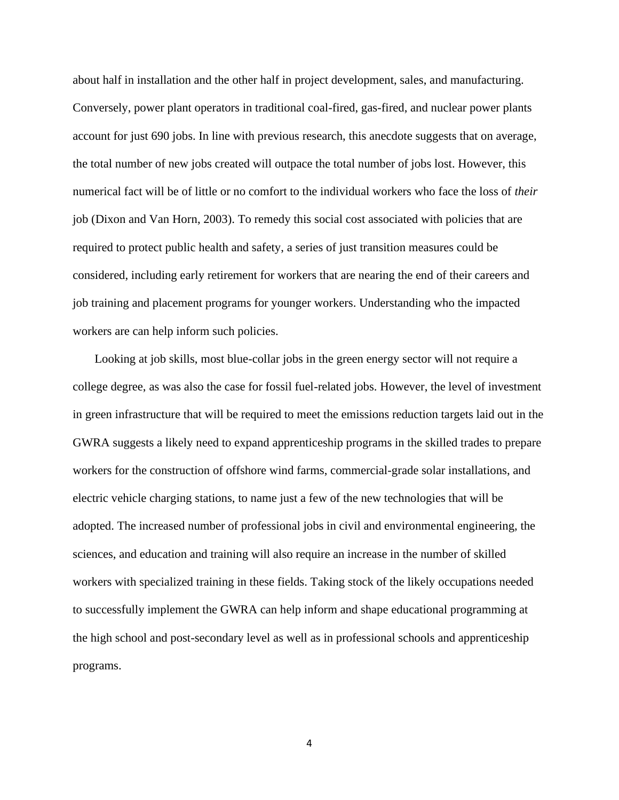about half in installation and the other half in project development, sales, and manufacturing. Conversely, power plant operators in traditional coal-fired, gas-fired, and nuclear power plants account for just 690 jobs. In line with previous research, this anecdote suggests that on average, the total number of new jobs created will outpace the total number of jobs lost. However, this numerical fact will be of little or no comfort to the individual workers who face the loss of *their* job (Dixon and Van Horn, 2003). To remedy this social cost associated with policies that are required to protect public health and safety, a series of just transition measures could be considered, including early retirement for workers that are nearing the end of their careers and job training and placement programs for younger workers. Understanding who the impacted workers are can help inform such policies.

Looking at job skills, most blue-collar jobs in the green energy sector will not require a college degree, as was also the case for fossil fuel-related jobs. However, the level of investment in green infrastructure that will be required to meet the emissions reduction targets laid out in the GWRA suggests a likely need to expand apprenticeship programs in the skilled trades to prepare workers for the construction of offshore wind farms, commercial-grade solar installations, and electric vehicle charging stations, to name just a few of the new technologies that will be adopted. The increased number of professional jobs in civil and environmental engineering, the sciences, and education and training will also require an increase in the number of skilled workers with specialized training in these fields. Taking stock of the likely occupations needed to successfully implement the GWRA can help inform and shape educational programming at the high school and post-secondary level as well as in professional schools and apprenticeship programs.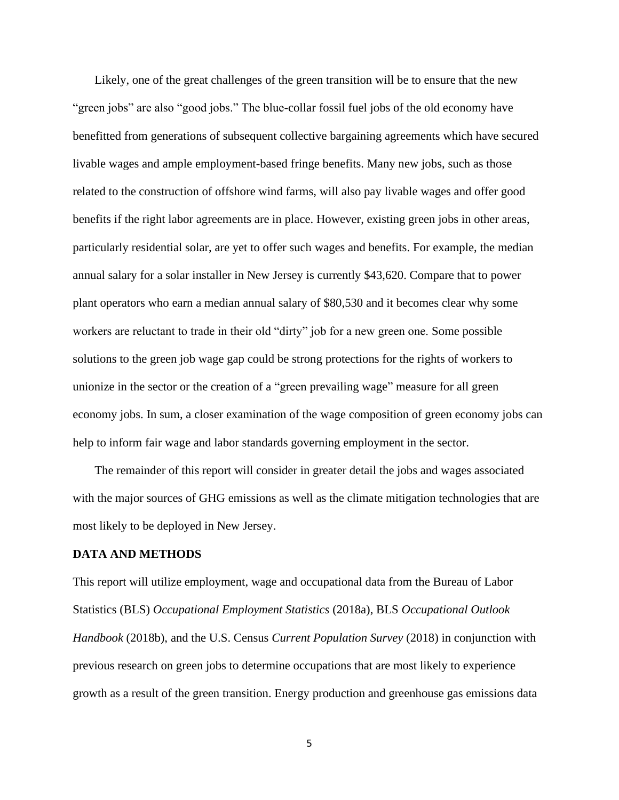Likely, one of the great challenges of the green transition will be to ensure that the new "green jobs" are also "good jobs." The blue-collar fossil fuel jobs of the old economy have benefitted from generations of subsequent collective bargaining agreements which have secured livable wages and ample employment-based fringe benefits. Many new jobs, such as those related to the construction of offshore wind farms, will also pay livable wages and offer good benefits if the right labor agreements are in place. However, existing green jobs in other areas, particularly residential solar, are yet to offer such wages and benefits. For example, the median annual salary for a solar installer in New Jersey is currently \$43,620. Compare that to power plant operators who earn a median annual salary of \$80,530 and it becomes clear why some workers are reluctant to trade in their old "dirty" job for a new green one. Some possible solutions to the green job wage gap could be strong protections for the rights of workers to unionize in the sector or the creation of a "green prevailing wage" measure for all green economy jobs. In sum, a closer examination of the wage composition of green economy jobs can help to inform fair wage and labor standards governing employment in the sector.

The remainder of this report will consider in greater detail the jobs and wages associated with the major sources of GHG emissions as well as the climate mitigation technologies that are most likely to be deployed in New Jersey.

#### **DATA AND METHODS**

This report will utilize employment, wage and occupational data from the Bureau of Labor Statistics (BLS) *Occupational Employment Statistics* (2018a), BLS *Occupational Outlook Handbook* (2018b), and the U.S. Census *Current Population Survey* (2018) in conjunction with previous research on green jobs to determine occupations that are most likely to experience growth as a result of the green transition. Energy production and greenhouse gas emissions data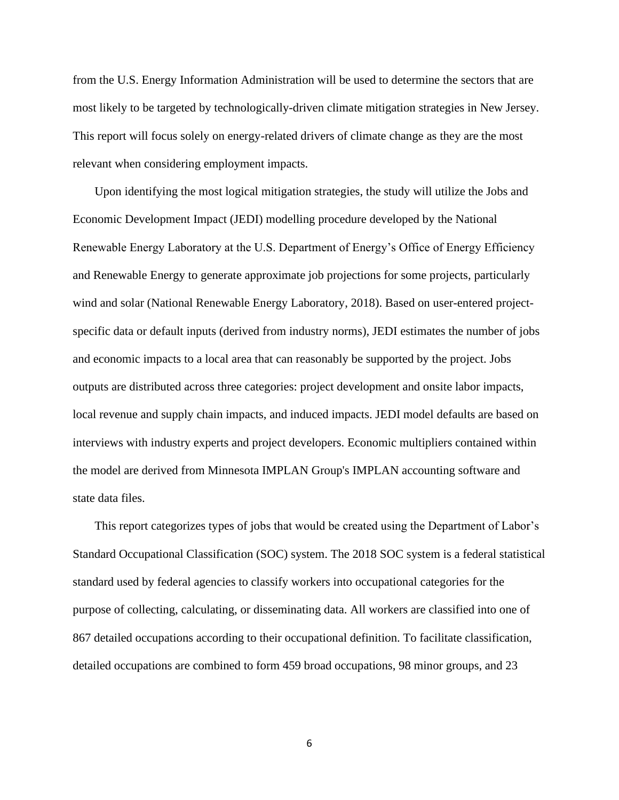from the U.S. Energy Information Administration will be used to determine the sectors that are most likely to be targeted by technologically-driven climate mitigation strategies in New Jersey. This report will focus solely on energy-related drivers of climate change as they are the most relevant when considering employment impacts.

Upon identifying the most logical mitigation strategies, the study will utilize the Jobs and Economic Development Impact (JEDI) modelling procedure developed by the National Renewable Energy Laboratory at the U.S. Department of Energy's Office of Energy Efficiency and Renewable Energy to generate approximate job projections for some projects, particularly wind and solar (National Renewable Energy Laboratory, 2018). Based on user-entered projectspecific data or default inputs (derived from industry norms), JEDI estimates the number of jobs and economic impacts to a local area that can reasonably be supported by the project. Jobs outputs are distributed across three categories: project development and onsite labor impacts, local revenue and supply chain impacts, and induced impacts. JEDI model defaults are based on interviews with industry experts and project developers. Economic multipliers contained within the model are derived from Minnesota IMPLAN Group's IMPLAN accounting software and state data files.

This report categorizes types of jobs that would be created using the Department of Labor's Standard Occupational Classification (SOC) system. The 2018 SOC system is a federal statistical standard used by federal agencies to classify workers into occupational categories for the purpose of collecting, calculating, or disseminating data. All workers are classified into one of 867 detailed occupations according to their occupational definition. To facilitate classification, detailed occupations are combined to form 459 broad occupations, 98 minor groups, and 23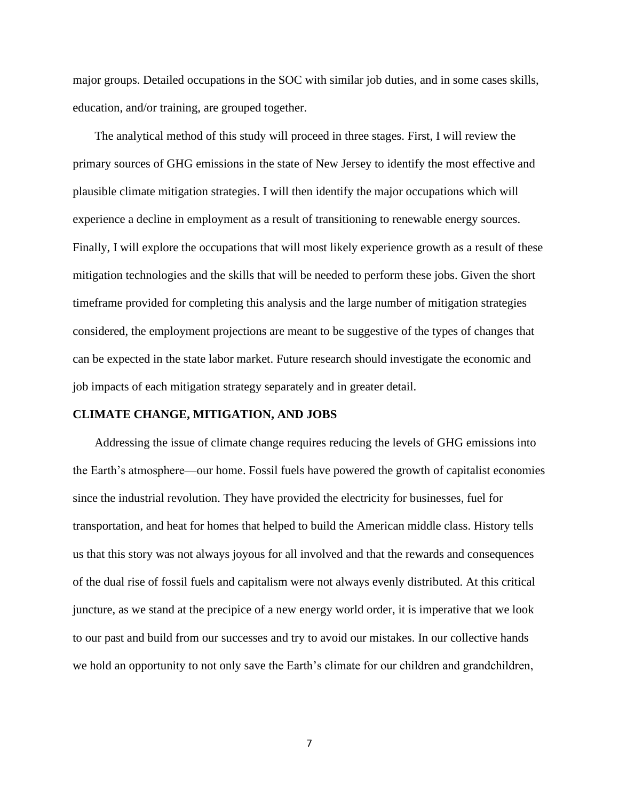major groups. Detailed occupations in the SOC with similar job duties, and in some cases skills, education, and/or training, are grouped together.

The analytical method of this study will proceed in three stages. First, I will review the primary sources of GHG emissions in the state of New Jersey to identify the most effective and plausible climate mitigation strategies. I will then identify the major occupations which will experience a decline in employment as a result of transitioning to renewable energy sources. Finally, I will explore the occupations that will most likely experience growth as a result of these mitigation technologies and the skills that will be needed to perform these jobs. Given the short timeframe provided for completing this analysis and the large number of mitigation strategies considered, the employment projections are meant to be suggestive of the types of changes that can be expected in the state labor market. Future research should investigate the economic and job impacts of each mitigation strategy separately and in greater detail.

#### **CLIMATE CHANGE, MITIGATION, AND JOBS**

Addressing the issue of climate change requires reducing the levels of GHG emissions into the Earth's atmosphere—our home. Fossil fuels have powered the growth of capitalist economies since the industrial revolution. They have provided the electricity for businesses, fuel for transportation, and heat for homes that helped to build the American middle class. History tells us that this story was not always joyous for all involved and that the rewards and consequences of the dual rise of fossil fuels and capitalism were not always evenly distributed. At this critical juncture, as we stand at the precipice of a new energy world order, it is imperative that we look to our past and build from our successes and try to avoid our mistakes. In our collective hands we hold an opportunity to not only save the Earth's climate for our children and grandchildren,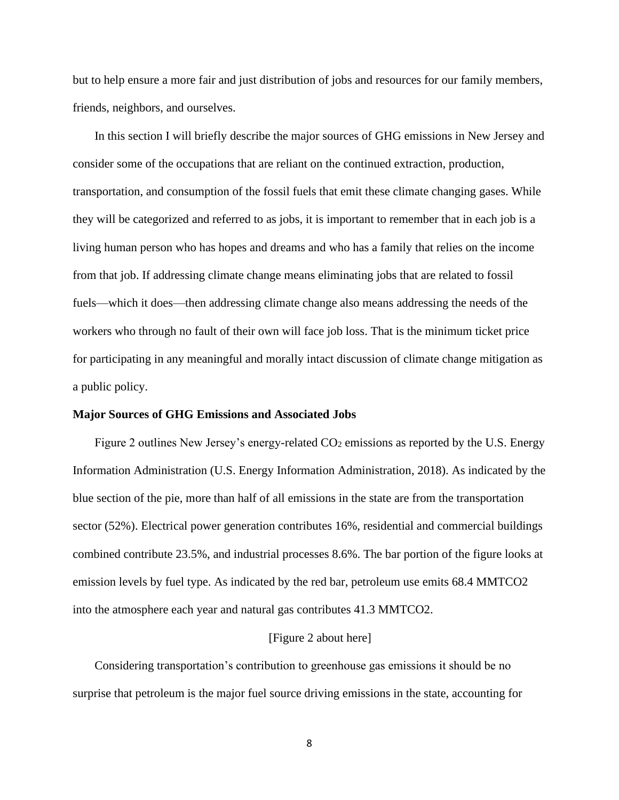but to help ensure a more fair and just distribution of jobs and resources for our family members, friends, neighbors, and ourselves.

In this section I will briefly describe the major sources of GHG emissions in New Jersey and consider some of the occupations that are reliant on the continued extraction, production, transportation, and consumption of the fossil fuels that emit these climate changing gases. While they will be categorized and referred to as jobs, it is important to remember that in each job is a living human person who has hopes and dreams and who has a family that relies on the income from that job. If addressing climate change means eliminating jobs that are related to fossil fuels—which it does—then addressing climate change also means addressing the needs of the workers who through no fault of their own will face job loss. That is the minimum ticket price for participating in any meaningful and morally intact discussion of climate change mitigation as a public policy.

#### **Major Sources of GHG Emissions and Associated Jobs**

Figure 2 outlines New Jersey's energy-related  $CO<sub>2</sub>$  emissions as reported by the U.S. Energy Information Administration (U.S. Energy Information Administration, 2018). As indicated by the blue section of the pie, more than half of all emissions in the state are from the transportation sector (52%). Electrical power generation contributes 16%, residential and commercial buildings combined contribute 23.5%, and industrial processes 8.6%. The bar portion of the figure looks at emission levels by fuel type. As indicated by the red bar, petroleum use emits 68.4 MMTCO2 into the atmosphere each year and natural gas contributes 41.3 MMTCO2.

#### [Figure 2 about here]

Considering transportation's contribution to greenhouse gas emissions it should be no surprise that petroleum is the major fuel source driving emissions in the state, accounting for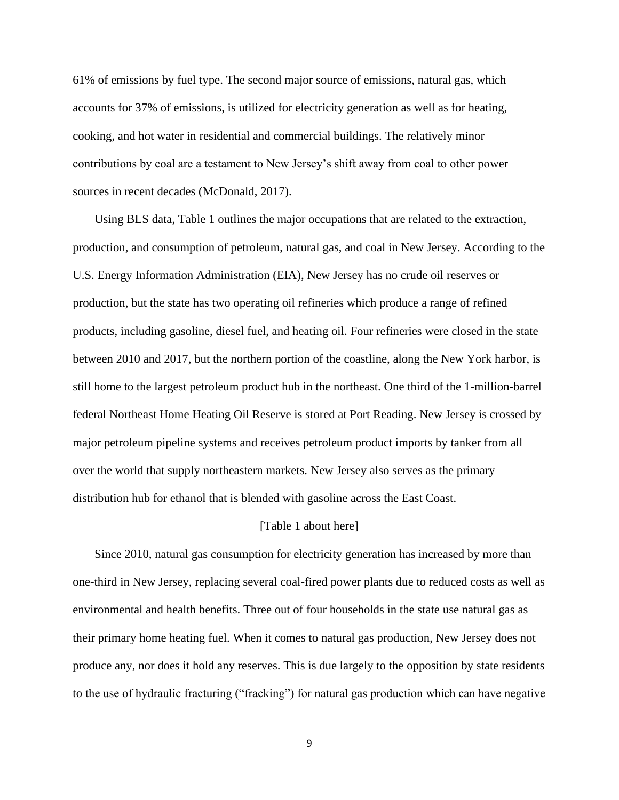61% of emissions by fuel type. The second major source of emissions, natural gas, which accounts for 37% of emissions, is utilized for electricity generation as well as for heating, cooking, and hot water in residential and commercial buildings. The relatively minor contributions by coal are a testament to New Jersey's shift away from coal to other power sources in recent decades (McDonald, 2017).

Using BLS data, Table 1 outlines the major occupations that are related to the extraction, production, and consumption of petroleum, natural gas, and coal in New Jersey. According to the U.S. Energy Information Administration (EIA), New Jersey has no crude oil reserves or production, but the state has two operating oil refineries which produce a range of refined products, including gasoline, diesel fuel, and heating oil. Four refineries were closed in the state between 2010 and 2017, but the northern portion of the coastline, along the New York harbor, is still home to the largest petroleum product hub in the northeast. One third of the 1-million-barrel federal Northeast Home Heating Oil Reserve is stored at Port Reading. New Jersey is crossed by major petroleum pipeline systems and receives petroleum product imports by tanker from all over the world that supply northeastern markets. New Jersey also serves as the primary distribution hub for ethanol that is blended with gasoline across the East Coast.

#### [Table 1 about here]

Since 2010, natural gas consumption for electricity generation has increased by more than one-third in New Jersey, replacing several coal-fired power plants due to reduced costs as well as environmental and health benefits. Three out of four households in the state use natural gas as their primary home heating fuel. When it comes to natural gas production, New Jersey does not produce any, nor does it hold any reserves. This is due largely to the opposition by state residents to the use of hydraulic fracturing ("fracking") for natural gas production which can have negative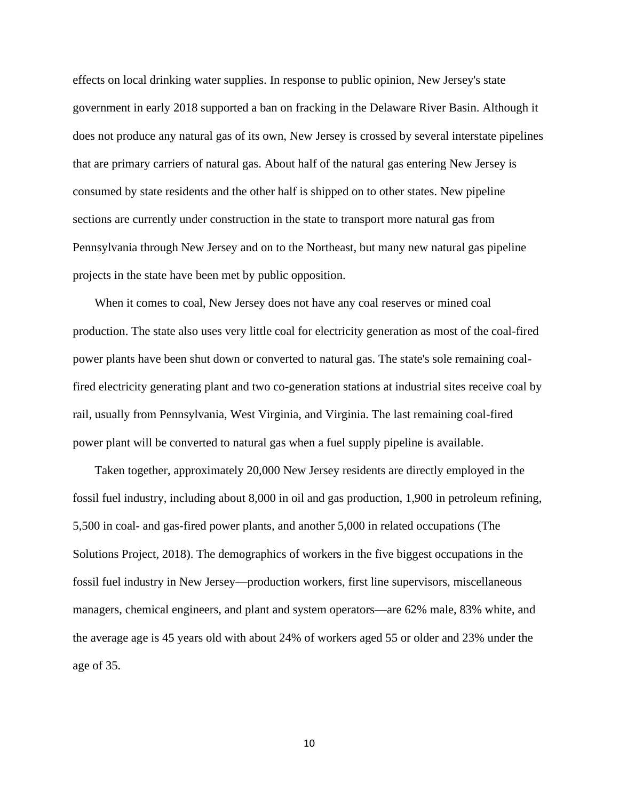effects on local drinking water supplies. In response to public opinion, New Jersey's state government in early 2018 supported a ban on fracking in the Delaware River Basin. Although it does not produce any natural gas of its own, New Jersey is crossed by several interstate pipelines that are primary carriers of natural gas. About half of the natural gas entering New Jersey is consumed by state residents and the other half is shipped on to other states. New pipeline sections are currently under construction in the state to transport more natural gas from Pennsylvania through New Jersey and on to the Northeast, but many new natural gas pipeline projects in the state have been met by public opposition.

When it comes to coal, New Jersey does not have any coal reserves or mined coal production. The state also uses very little coal for electricity generation as most of the coal-fired power plants have been shut down or converted to natural gas. The state's sole remaining coalfired electricity generating plant and two co-generation stations at industrial sites receive coal by rail, usually from Pennsylvania, West Virginia, and Virginia. The last remaining coal-fired power plant will be converted to natural gas when a fuel supply pipeline is available.

Taken together, approximately 20,000 New Jersey residents are directly employed in the fossil fuel industry, including about 8,000 in oil and gas production, 1,900 in petroleum refining, 5,500 in coal- and gas-fired power plants, and another 5,000 in related occupations (The Solutions Project, 2018). The demographics of workers in the five biggest occupations in the fossil fuel industry in New Jersey—production workers, first line supervisors, miscellaneous managers, chemical engineers, and plant and system operators—are 62% male, 83% white, and the average age is 45 years old with about 24% of workers aged 55 or older and 23% under the age of 35.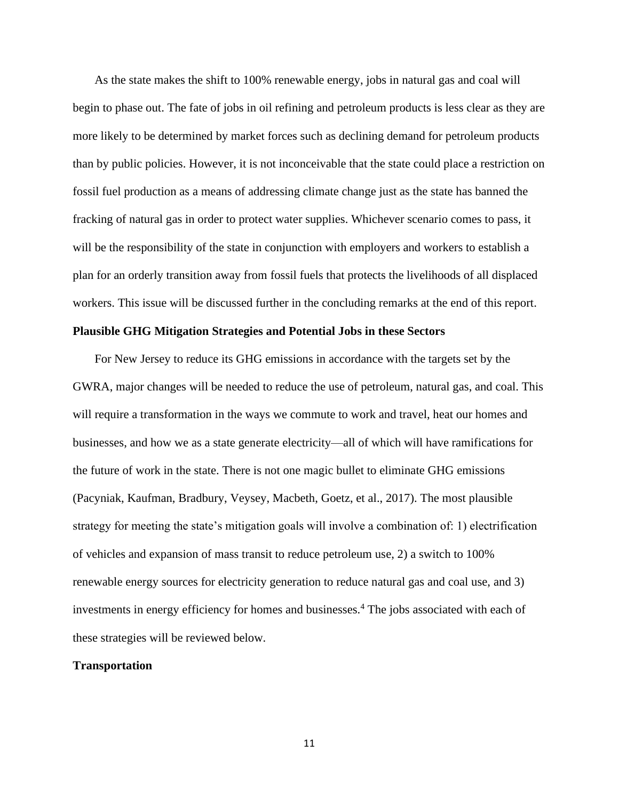As the state makes the shift to 100% renewable energy, jobs in natural gas and coal will begin to phase out. The fate of jobs in oil refining and petroleum products is less clear as they are more likely to be determined by market forces such as declining demand for petroleum products than by public policies. However, it is not inconceivable that the state could place a restriction on fossil fuel production as a means of addressing climate change just as the state has banned the fracking of natural gas in order to protect water supplies. Whichever scenario comes to pass, it will be the responsibility of the state in conjunction with employers and workers to establish a plan for an orderly transition away from fossil fuels that protects the livelihoods of all displaced workers. This issue will be discussed further in the concluding remarks at the end of this report.

#### **Plausible GHG Mitigation Strategies and Potential Jobs in these Sectors**

For New Jersey to reduce its GHG emissions in accordance with the targets set by the GWRA, major changes will be needed to reduce the use of petroleum, natural gas, and coal. This will require a transformation in the ways we commute to work and travel, heat our homes and businesses, and how we as a state generate electricity—all of which will have ramifications for the future of work in the state. There is not one magic bullet to eliminate GHG emissions (Pacyniak, Kaufman, Bradbury, Veysey, Macbeth, Goetz, et al., 2017). The most plausible strategy for meeting the state's mitigation goals will involve a combination of: 1) electrification of vehicles and expansion of mass transit to reduce petroleum use, 2) a switch to 100% renewable energy sources for electricity generation to reduce natural gas and coal use, and 3) investments in energy efficiency for homes and businesses.<sup>4</sup> The jobs associated with each of these strategies will be reviewed below.

#### **Transportation**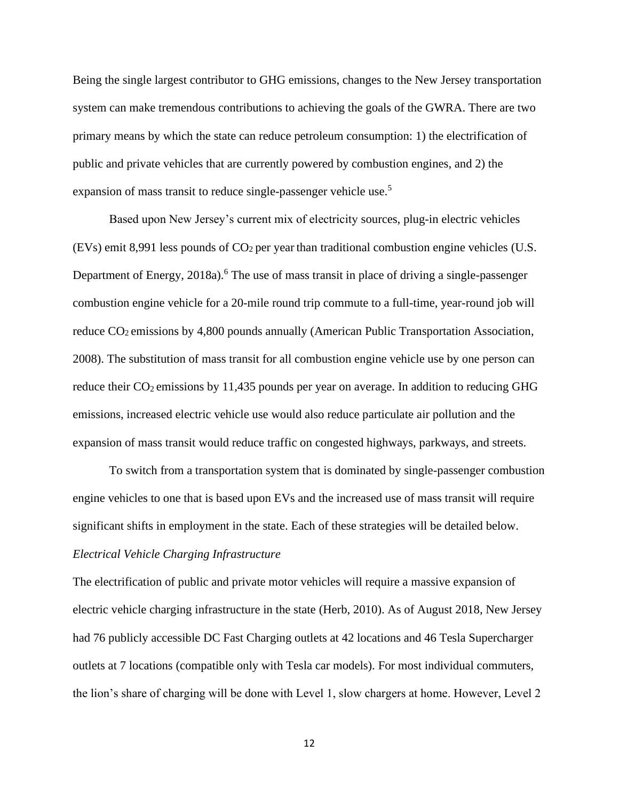Being the single largest contributor to GHG emissions, changes to the New Jersey transportation system can make tremendous contributions to achieving the goals of the GWRA. There are two primary means by which the state can reduce petroleum consumption: 1) the electrification of public and private vehicles that are currently powered by combustion engines, and 2) the expansion of mass transit to reduce single-passenger vehicle use.<sup>5</sup>

Based upon New Jersey's current mix of electricity sources, plug-in electric vehicles (EVs) emit 8,991 less pounds of  $CO<sub>2</sub>$  per year than traditional combustion engine vehicles (U.S. Department of Energy, 2018a).<sup>6</sup> The use of mass transit in place of driving a single-passenger combustion engine vehicle for a 20-mile round trip commute to a full-time, year-round job will reduce  $CO<sub>2</sub>$  emissions by 4,800 pounds annually (American Public Transportation Association, 2008). The substitution of mass transit for all combustion engine vehicle use by one person can reduce their  $CO_2$  emissions by 11,435 pounds per year on average. In addition to reducing GHG emissions, increased electric vehicle use would also reduce particulate air pollution and the expansion of mass transit would reduce traffic on congested highways, parkways, and streets.

To switch from a transportation system that is dominated by single-passenger combustion engine vehicles to one that is based upon EVs and the increased use of mass transit will require significant shifts in employment in the state. Each of these strategies will be detailed below.

### *Electrical Vehicle Charging Infrastructure*

The electrification of public and private motor vehicles will require a massive expansion of electric vehicle charging infrastructure in the state (Herb, 2010). As of August 2018, New Jersey had 76 publicly accessible DC Fast Charging outlets at 42 locations and 46 Tesla Supercharger outlets at 7 locations (compatible only with Tesla car models). For most individual commuters, the lion's share of charging will be done with Level 1, slow chargers at home. However, Level 2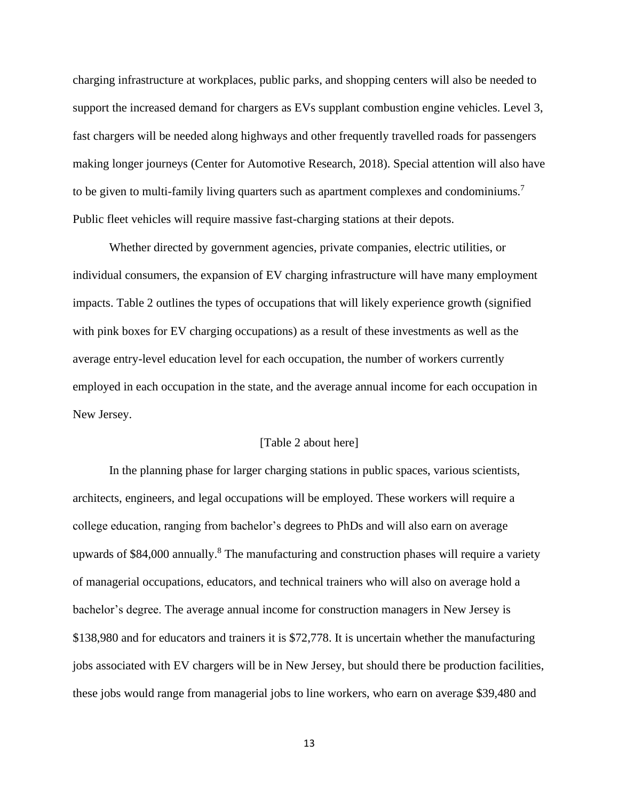charging infrastructure at workplaces, public parks, and shopping centers will also be needed to support the increased demand for chargers as EVs supplant combustion engine vehicles. Level 3, fast chargers will be needed along highways and other frequently travelled roads for passengers making longer journeys (Center for Automotive Research, 2018). Special attention will also have to be given to multi-family living quarters such as apartment complexes and condominiums.<sup>7</sup> Public fleet vehicles will require massive fast-charging stations at their depots.

Whether directed by government agencies, private companies, electric utilities, or individual consumers, the expansion of EV charging infrastructure will have many employment impacts. Table 2 outlines the types of occupations that will likely experience growth (signified with pink boxes for EV charging occupations) as a result of these investments as well as the average entry-level education level for each occupation, the number of workers currently employed in each occupation in the state, and the average annual income for each occupation in New Jersey.

#### [Table 2 about here]

In the planning phase for larger charging stations in public spaces, various scientists, architects, engineers, and legal occupations will be employed. These workers will require a college education, ranging from bachelor's degrees to PhDs and will also earn on average upwards of  $$84,000$  annually.<sup>8</sup> The manufacturing and construction phases will require a variety of managerial occupations, educators, and technical trainers who will also on average hold a bachelor's degree. The average annual income for construction managers in New Jersey is \$138,980 and for educators and trainers it is \$72,778. It is uncertain whether the manufacturing jobs associated with EV chargers will be in New Jersey, but should there be production facilities, these jobs would range from managerial jobs to line workers, who earn on average \$39,480 and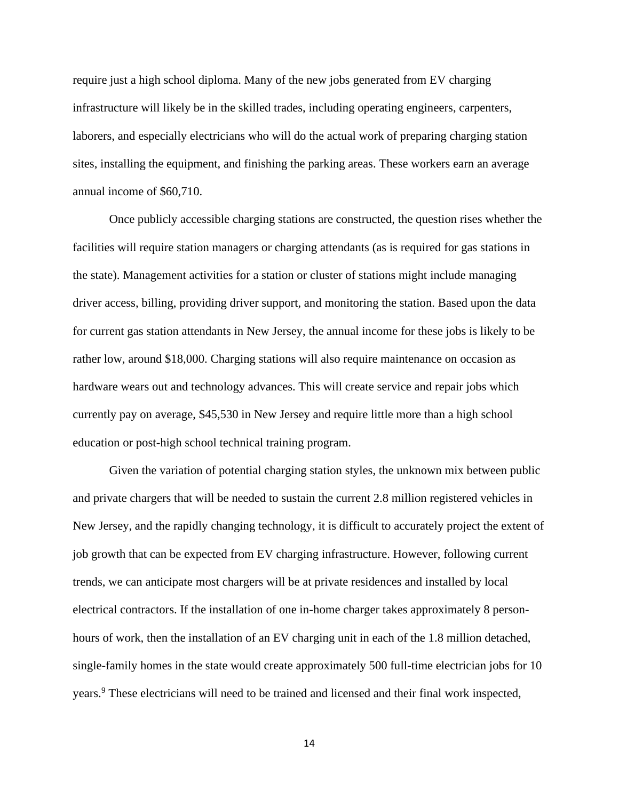require just a high school diploma. Many of the new jobs generated from EV charging infrastructure will likely be in the skilled trades, including operating engineers, carpenters, laborers, and especially electricians who will do the actual work of preparing charging station sites, installing the equipment, and finishing the parking areas. These workers earn an average annual income of \$60,710.

Once publicly accessible charging stations are constructed, the question rises whether the facilities will require station managers or charging attendants (as is required for gas stations in the state). Management activities for a station or cluster of stations might include managing driver access, billing, providing driver support, and monitoring the station. Based upon the data for current gas station attendants in New Jersey, the annual income for these jobs is likely to be rather low, around \$18,000. Charging stations will also require maintenance on occasion as hardware wears out and technology advances. This will create service and repair jobs which currently pay on average, \$45,530 in New Jersey and require little more than a high school education or post-high school technical training program.

Given the variation of potential charging station styles, the unknown mix between public and private chargers that will be needed to sustain the current 2.8 million registered vehicles in New Jersey, and the rapidly changing technology, it is difficult to accurately project the extent of job growth that can be expected from EV charging infrastructure. However, following current trends, we can anticipate most chargers will be at private residences and installed by local electrical contractors. If the installation of one in-home charger takes approximately 8 personhours of work, then the installation of an EV charging unit in each of the 1.8 million detached, single-family homes in the state would create approximately 500 full-time electrician jobs for 10 years.<sup>9</sup> These electricians will need to be trained and licensed and their final work inspected,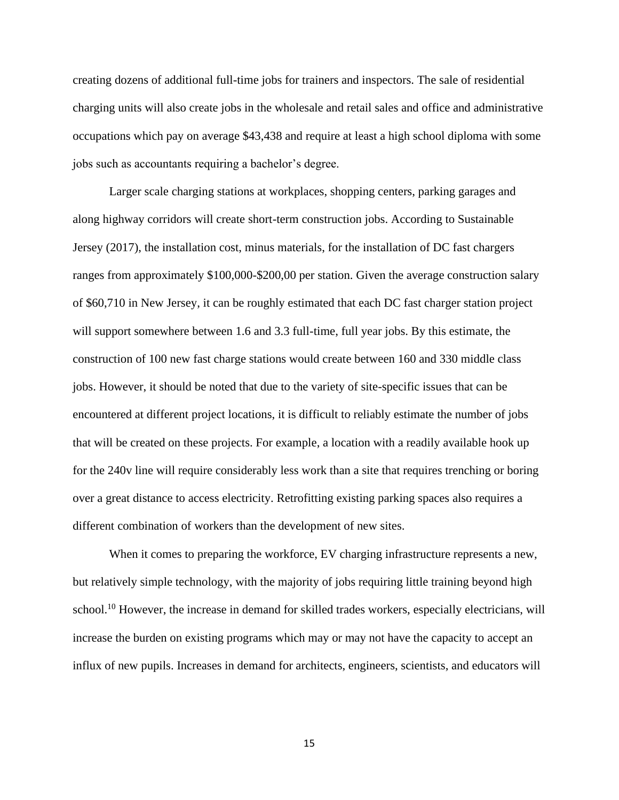creating dozens of additional full-time jobs for trainers and inspectors. The sale of residential charging units will also create jobs in the wholesale and retail sales and office and administrative occupations which pay on average \$43,438 and require at least a high school diploma with some jobs such as accountants requiring a bachelor's degree.

Larger scale charging stations at workplaces, shopping centers, parking garages and along highway corridors will create short-term construction jobs. According to Sustainable Jersey (2017), the installation cost, minus materials, for the installation of DC fast chargers ranges from approximately \$100,000-\$200,00 per station. Given the average construction salary of \$60,710 in New Jersey, it can be roughly estimated that each DC fast charger station project will support somewhere between 1.6 and 3.3 full-time, full year jobs. By this estimate, the construction of 100 new fast charge stations would create between 160 and 330 middle class jobs. However, it should be noted that due to the variety of site-specific issues that can be encountered at different project locations, it is difficult to reliably estimate the number of jobs that will be created on these projects. For example, a location with a readily available hook up for the 240v line will require considerably less work than a site that requires trenching or boring over a great distance to access electricity. Retrofitting existing parking spaces also requires a different combination of workers than the development of new sites.

When it comes to preparing the workforce, EV charging infrastructure represents a new, but relatively simple technology, with the majority of jobs requiring little training beyond high school.<sup>10</sup> However, the increase in demand for skilled trades workers, especially electricians, will increase the burden on existing programs which may or may not have the capacity to accept an influx of new pupils. Increases in demand for architects, engineers, scientists, and educators will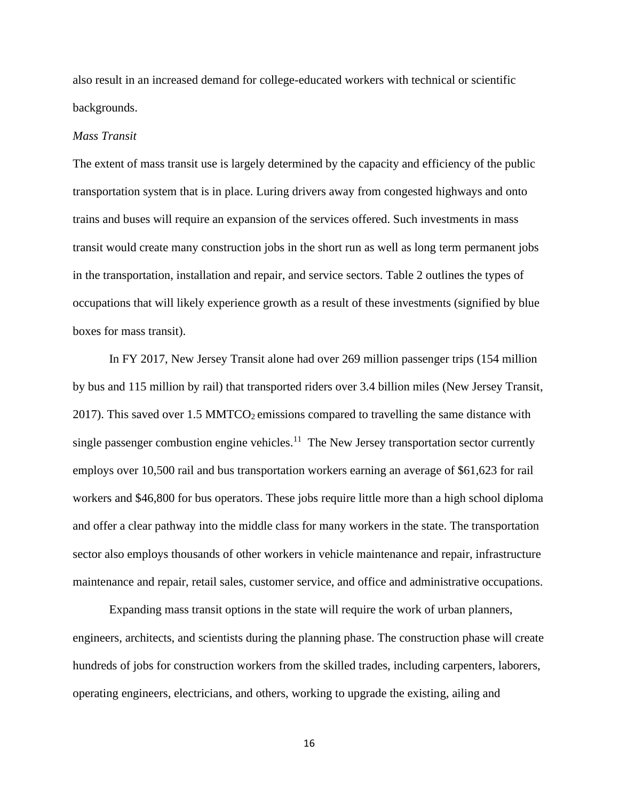also result in an increased demand for college-educated workers with technical or scientific backgrounds.

#### *Mass Transit*

The extent of mass transit use is largely determined by the capacity and efficiency of the public transportation system that is in place. Luring drivers away from congested highways and onto trains and buses will require an expansion of the services offered. Such investments in mass transit would create many construction jobs in the short run as well as long term permanent jobs in the transportation, installation and repair, and service sectors. Table 2 outlines the types of occupations that will likely experience growth as a result of these investments (signified by blue boxes for mass transit).

In FY 2017, New Jersey Transit alone had over 269 million passenger trips (154 million by bus and 115 million by rail) that transported riders over 3.4 billion miles (New Jersey Transit, 2017). This saved over 1.5 MMTCO<sub>2</sub> emissions compared to travelling the same distance with single passenger combustion engine vehicles.<sup>11</sup> The New Jersey transportation sector currently employs over 10,500 rail and bus transportation workers earning an average of \$61,623 for rail workers and \$46,800 for bus operators. These jobs require little more than a high school diploma and offer a clear pathway into the middle class for many workers in the state. The transportation sector also employs thousands of other workers in vehicle maintenance and repair, infrastructure maintenance and repair, retail sales, customer service, and office and administrative occupations.

Expanding mass transit options in the state will require the work of urban planners, engineers, architects, and scientists during the planning phase. The construction phase will create hundreds of jobs for construction workers from the skilled trades, including carpenters, laborers, operating engineers, electricians, and others, working to upgrade the existing, ailing and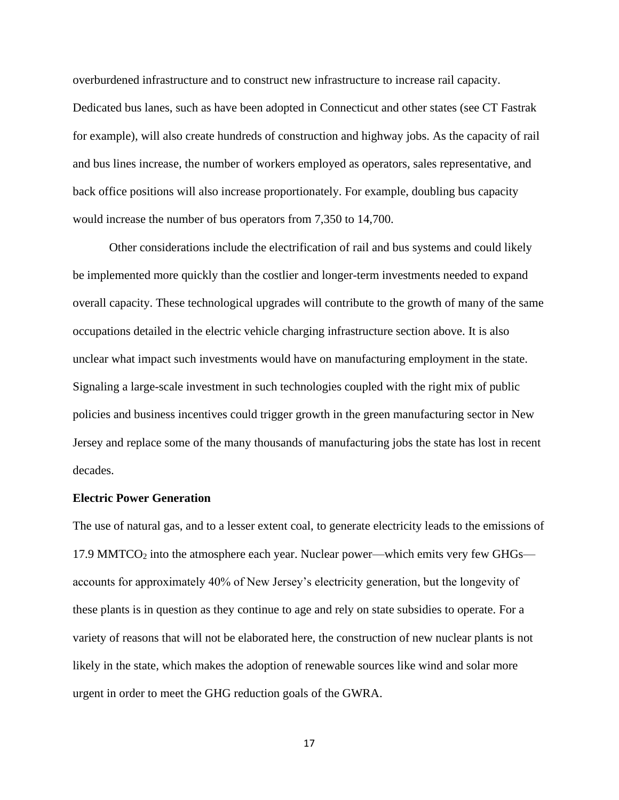overburdened infrastructure and to construct new infrastructure to increase rail capacity. Dedicated bus lanes, such as have been adopted in Connecticut and other states (see CT Fastrak for example), will also create hundreds of construction and highway jobs. As the capacity of rail and bus lines increase, the number of workers employed as operators, sales representative, and back office positions will also increase proportionately. For example, doubling bus capacity would increase the number of bus operators from 7,350 to 14,700.

Other considerations include the electrification of rail and bus systems and could likely be implemented more quickly than the costlier and longer-term investments needed to expand overall capacity. These technological upgrades will contribute to the growth of many of the same occupations detailed in the electric vehicle charging infrastructure section above. It is also unclear what impact such investments would have on manufacturing employment in the state. Signaling a large-scale investment in such technologies coupled with the right mix of public policies and business incentives could trigger growth in the green manufacturing sector in New Jersey and replace some of the many thousands of manufacturing jobs the state has lost in recent decades.

#### **Electric Power Generation**

The use of natural gas, and to a lesser extent coal, to generate electricity leads to the emissions of 17.9 MMTCO<sup>2</sup> into the atmosphere each year. Nuclear power—which emits very few GHGs accounts for approximately 40% of New Jersey's electricity generation, but the longevity of these plants is in question as they continue to age and rely on state subsidies to operate. For a variety of reasons that will not be elaborated here, the construction of new nuclear plants is not likely in the state, which makes the adoption of renewable sources like wind and solar more urgent in order to meet the GHG reduction goals of the GWRA.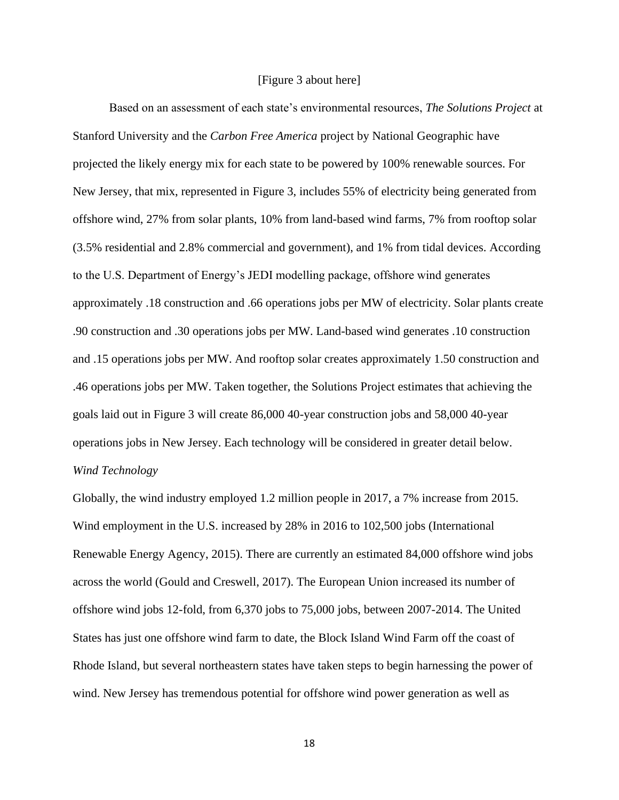#### [Figure 3 about here]

Based on an assessment of each state's environmental resources, *The Solutions Project* at Stanford University and the *Carbon Free America* project by National Geographic have projected the likely energy mix for each state to be powered by 100% renewable sources. For New Jersey, that mix, represented in Figure 3, includes 55% of electricity being generated from offshore wind, 27% from solar plants, 10% from land-based wind farms, 7% from rooftop solar (3.5% residential and 2.8% commercial and government), and 1% from tidal devices. According to the U.S. Department of Energy's JEDI modelling package, offshore wind generates approximately .18 construction and .66 operations jobs per MW of electricity. Solar plants create .90 construction and .30 operations jobs per MW. Land-based wind generates .10 construction and .15 operations jobs per MW. And rooftop solar creates approximately 1.50 construction and .46 operations jobs per MW. Taken together, the Solutions Project estimates that achieving the goals laid out in Figure 3 will create 86,000 40-year construction jobs and 58,000 40-year operations jobs in New Jersey. Each technology will be considered in greater detail below. *Wind Technology*

Globally, the wind industry employed 1.2 million people in 2017, a 7% increase from 2015. Wind employment in the U.S. increased by 28% in 2016 to 102,500 jobs (International Renewable Energy Agency, 2015). There are currently an estimated 84,000 offshore wind jobs across the world (Gould and Creswell, 2017). The European Union increased its number of offshore wind jobs 12-fold, from 6,370 jobs to 75,000 jobs, between 2007-2014. The United States has just one offshore wind farm to date, the Block Island Wind Farm off the coast of Rhode Island, but several northeastern states have taken steps to begin harnessing the power of wind. New Jersey has tremendous potential for offshore wind power generation as well as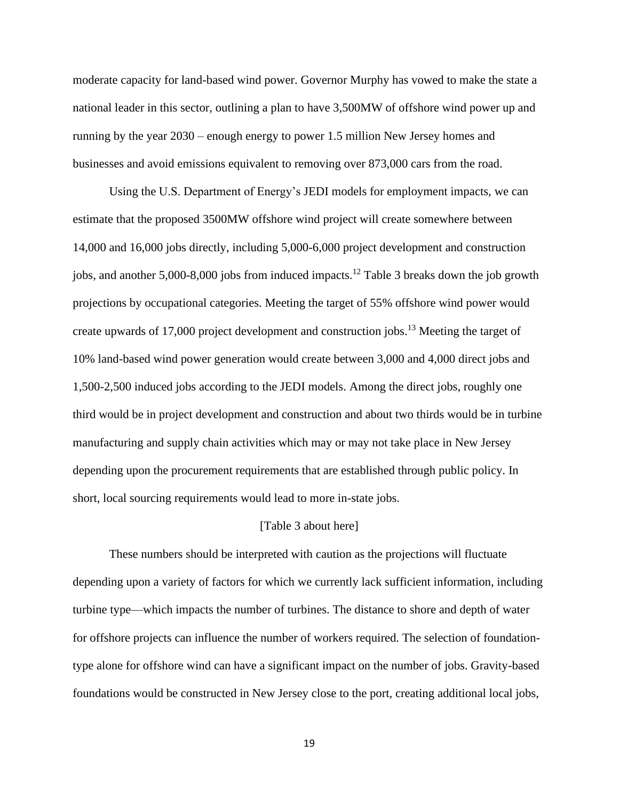moderate capacity for land-based wind power. Governor Murphy has vowed to make the state a national leader in this sector, outlining a plan to have 3,500MW of offshore wind power up and running by the year 2030 – enough energy to power 1.5 million New Jersey homes and businesses and avoid emissions equivalent to removing over 873,000 cars from the road.

Using the U.S. Department of Energy's JEDI models for employment impacts, we can estimate that the proposed 3500MW offshore wind project will create somewhere between 14,000 and 16,000 jobs directly, including 5,000-6,000 project development and construction jobs, and another 5,000-8,000 jobs from induced impacts.<sup>12</sup> Table 3 breaks down the job growth projections by occupational categories. Meeting the target of 55% offshore wind power would create upwards of 17,000 project development and construction jobs.<sup>13</sup> Meeting the target of 10% land-based wind power generation would create between 3,000 and 4,000 direct jobs and 1,500-2,500 induced jobs according to the JEDI models. Among the direct jobs, roughly one third would be in project development and construction and about two thirds would be in turbine manufacturing and supply chain activities which may or may not take place in New Jersey depending upon the procurement requirements that are established through public policy. In short, local sourcing requirements would lead to more in-state jobs.

#### [Table 3 about here]

These numbers should be interpreted with caution as the projections will fluctuate depending upon a variety of factors for which we currently lack sufficient information, including turbine type—which impacts the number of turbines. The distance to shore and depth of water for offshore projects can influence the number of workers required. The selection of foundationtype alone for offshore wind can have a significant impact on the number of jobs. Gravity-based foundations would be constructed in New Jersey close to the port, creating additional local jobs,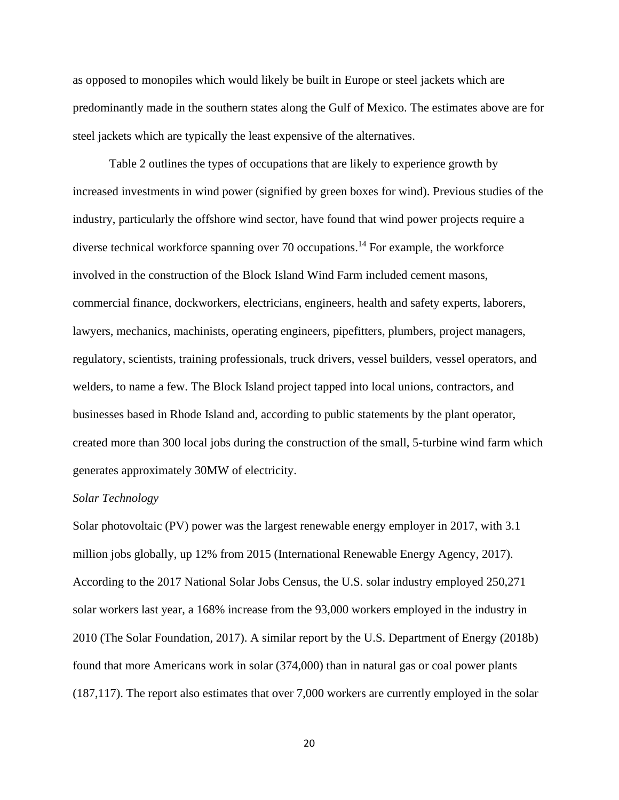as opposed to monopiles which would likely be built in Europe or steel jackets which are predominantly made in the southern states along the Gulf of Mexico. The estimates above are for steel jackets which are typically the least expensive of the alternatives.

Table 2 outlines the types of occupations that are likely to experience growth by increased investments in wind power (signified by green boxes for wind). Previous studies of the industry, particularly the offshore wind sector, have found that wind power projects require a diverse technical workforce spanning over 70 occupations.<sup>14</sup> For example, the workforce involved in the construction of the Block Island Wind Farm included cement masons, commercial finance, dockworkers, electricians, engineers, health and safety experts, laborers, lawyers, mechanics, machinists, operating engineers, pipefitters, plumbers, project managers, regulatory, scientists, training professionals, truck drivers, vessel builders, vessel operators, and welders, to name a few. The Block Island project tapped into local unions, contractors, and businesses based in Rhode Island and, according to public statements by the plant operator, created more than 300 local jobs during the construction of the small, 5-turbine wind farm which generates approximately 30MW of electricity.

#### *Solar Technology*

Solar photovoltaic (PV) power was the largest renewable energy employer in 2017, with 3.1 million jobs globally, up 12% from 2015 (International Renewable Energy Agency, 2017). According to the 2017 National Solar Jobs Census, the U.S. solar industry employed 250,271 solar workers last year, a 168% increase from the 93,000 workers employed in the industry in 2010 (The Solar Foundation, 2017). A similar report by the U.S. Department of Energy (2018b) found that more Americans work in solar (374,000) than in natural gas or coal power plants (187,117). The report also estimates that over 7,000 workers are currently employed in the solar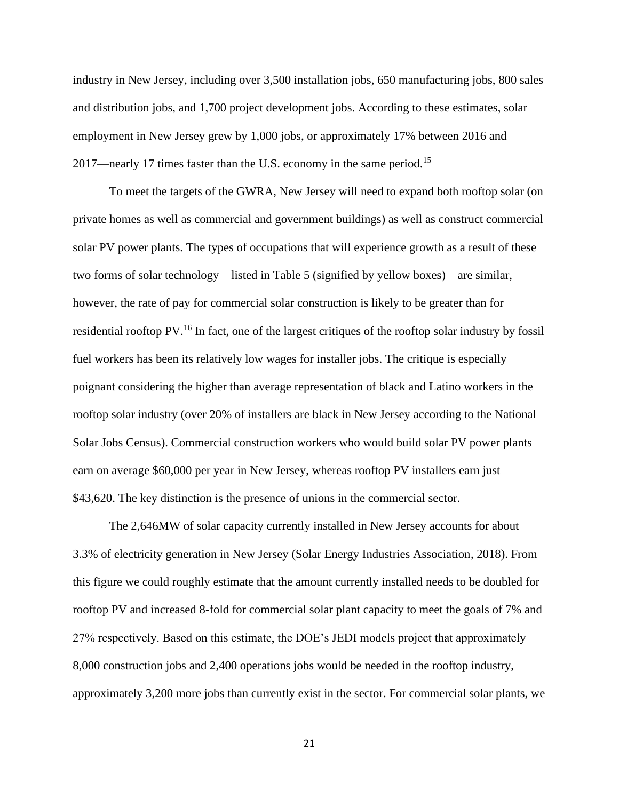industry in New Jersey, including over 3,500 installation jobs, 650 manufacturing jobs, 800 sales and distribution jobs, and 1,700 project development jobs. According to these estimates, solar employment in New Jersey grew by 1,000 jobs, or approximately 17% between 2016 and 2017—nearly 17 times faster than the U.S. economy in the same period.<sup>15</sup>

To meet the targets of the GWRA, New Jersey will need to expand both rooftop solar (on private homes as well as commercial and government buildings) as well as construct commercial solar PV power plants. The types of occupations that will experience growth as a result of these two forms of solar technology—listed in Table 5 (signified by yellow boxes)—are similar, however, the rate of pay for commercial solar construction is likely to be greater than for residential rooftop PV.<sup>16</sup> In fact, one of the largest critiques of the rooftop solar industry by fossil fuel workers has been its relatively low wages for installer jobs. The critique is especially poignant considering the higher than average representation of black and Latino workers in the rooftop solar industry (over 20% of installers are black in New Jersey according to the National Solar Jobs Census). Commercial construction workers who would build solar PV power plants earn on average \$60,000 per year in New Jersey, whereas rooftop PV installers earn just \$43,620. The key distinction is the presence of unions in the commercial sector.

The 2,646MW of solar capacity currently installed in New Jersey accounts for about 3.3% of electricity generation in New Jersey (Solar Energy Industries Association, 2018). From this figure we could roughly estimate that the amount currently installed needs to be doubled for rooftop PV and increased 8-fold for commercial solar plant capacity to meet the goals of 7% and 27% respectively. Based on this estimate, the DOE's JEDI models project that approximately 8,000 construction jobs and 2,400 operations jobs would be needed in the rooftop industry, approximately 3,200 more jobs than currently exist in the sector. For commercial solar plants, we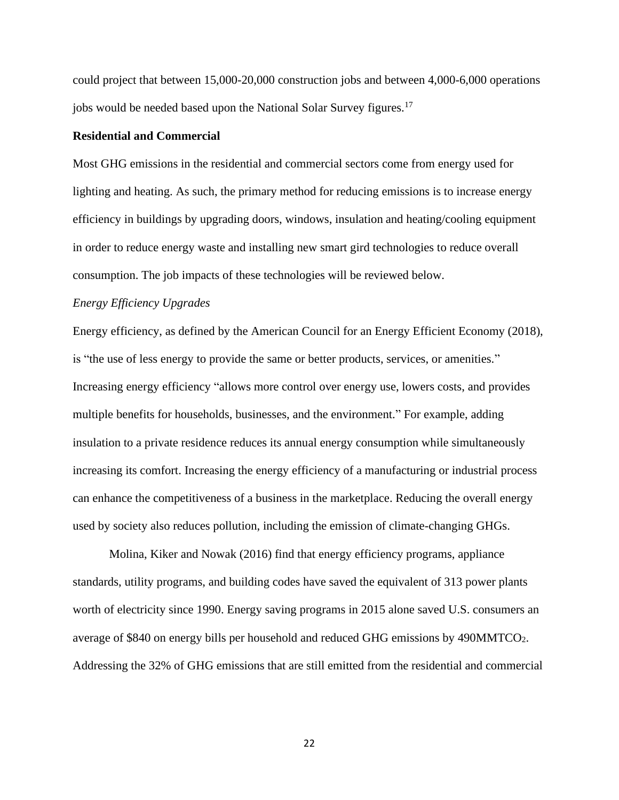could project that between 15,000-20,000 construction jobs and between 4,000-6,000 operations jobs would be needed based upon the National Solar Survey figures.<sup>17</sup>

#### **Residential and Commercial**

Most GHG emissions in the residential and commercial sectors come from energy used for lighting and heating. As such, the primary method for reducing emissions is to increase energy efficiency in buildings by upgrading doors, windows, insulation and heating/cooling equipment in order to reduce energy waste and installing new smart gird technologies to reduce overall consumption. The job impacts of these technologies will be reviewed below.

#### *Energy Efficiency Upgrades*

Energy efficiency, as defined by the American Council for an Energy Efficient Economy (2018), is "the use of less energy to provide the same or better products, services, or amenities." Increasing energy efficiency "allows more control over energy use, lowers costs, and provides multiple benefits for households, businesses, and the environment." For example, adding insulation to a private residence reduces its annual energy consumption while simultaneously increasing its comfort. Increasing the energy efficiency of a manufacturing or industrial process can enhance the competitiveness of a business in the marketplace. Reducing the overall energy used by society also reduces pollution, including the emission of climate-changing GHGs.

Molina, Kiker and Nowak (2016) find that energy efficiency programs, appliance standards, utility programs, and building codes have saved the equivalent of 313 power plants worth of electricity since 1990. Energy saving programs in 2015 alone saved U.S. consumers an average of \$840 on energy bills per household and reduced GHG emissions by 490MMTCO<sub>2</sub>. Addressing the 32% of GHG emissions that are still emitted from the residential and commercial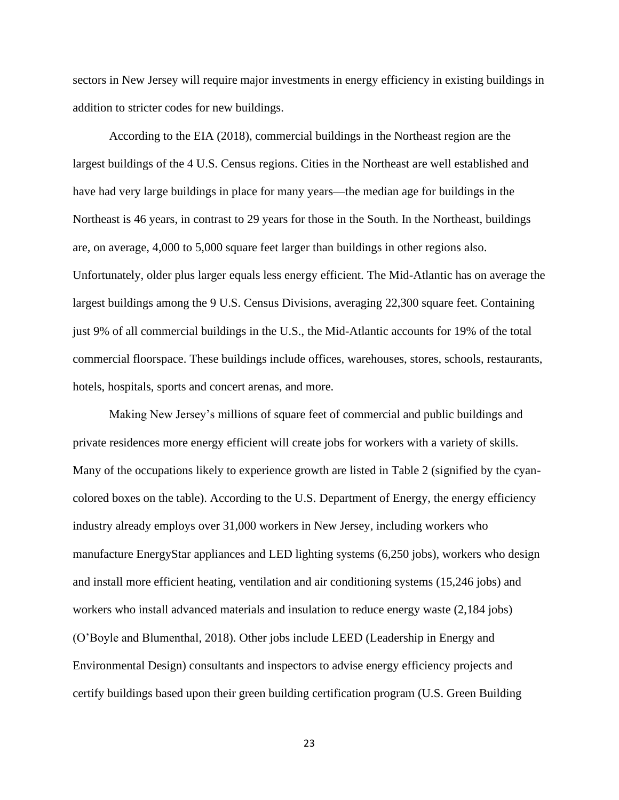sectors in New Jersey will require major investments in energy efficiency in existing buildings in addition to stricter codes for new buildings.

According to the EIA (2018), commercial buildings in the Northeast region are the largest buildings of the 4 U.S. Census regions. Cities in the Northeast are well established and have had very large buildings in place for many years—the median age for buildings in the Northeast is 46 years, in contrast to 29 years for those in the South. In the Northeast, buildings are, on average, 4,000 to 5,000 square feet larger than buildings in other regions also. Unfortunately, older plus larger equals less energy efficient. The Mid-Atlantic has on average the largest buildings among the 9 U.S. Census Divisions, averaging 22,300 square feet. Containing just 9% of all commercial buildings in the U.S., the Mid-Atlantic accounts for 19% of the total commercial floorspace. These buildings include offices, warehouses, stores, schools, restaurants, hotels, hospitals, sports and concert arenas, and more.

Making New Jersey's millions of square feet of commercial and public buildings and private residences more energy efficient will create jobs for workers with a variety of skills. Many of the occupations likely to experience growth are listed in Table 2 (signified by the cyancolored boxes on the table). According to the U.S. Department of Energy, the energy efficiency industry already employs over 31,000 workers in New Jersey, including workers who manufacture EnergyStar appliances and LED lighting systems (6,250 jobs), workers who design and install more efficient heating, ventilation and air conditioning systems (15,246 jobs) and workers who install advanced materials and insulation to reduce energy waste (2,184 jobs) (O'Boyle and Blumenthal, 2018). Other jobs include LEED (Leadership in Energy and Environmental Design) consultants and inspectors to advise energy efficiency projects and certify buildings based upon their green building certification program (U.S. Green Building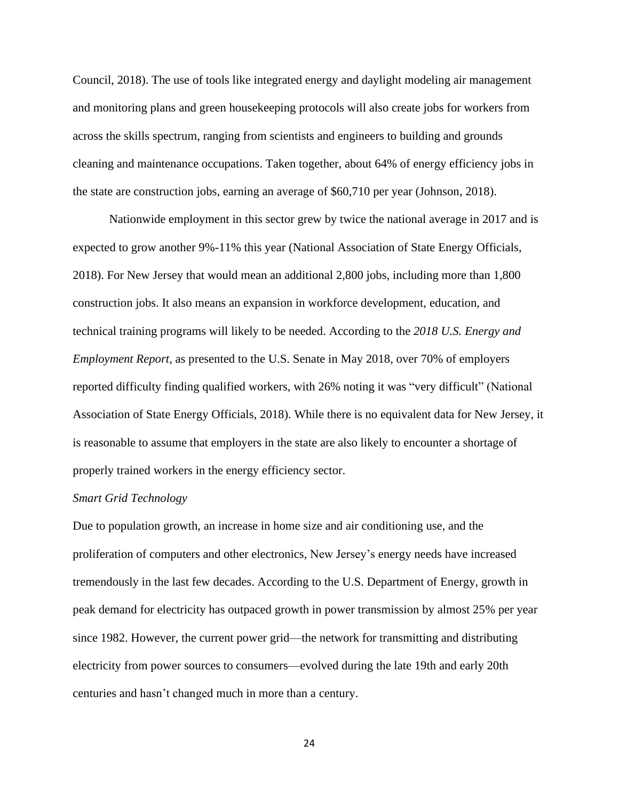Council, 2018). The use of tools like integrated energy and daylight modeling air management and monitoring plans and green housekeeping protocols will also create jobs for workers from across the skills spectrum, ranging from scientists and engineers to building and grounds cleaning and maintenance occupations. Taken together, about 64% of energy efficiency jobs in the state are construction jobs, earning an average of \$60,710 per year (Johnson, 2018).

Nationwide employment in this sector grew by twice the national average in 2017 and is expected to grow another 9%-11% this year (National Association of State Energy Officials, 2018). For New Jersey that would mean an additional 2,800 jobs, including more than 1,800 construction jobs. It also means an expansion in workforce development, education, and technical training programs will likely to be needed. According to the *2018 U.S. Energy and Employment Report*, as presented to the U.S. Senate in May 2018, over 70% of employers reported difficulty finding qualified workers, with 26% noting it was "very difficult" (National Association of State Energy Officials, 2018). While there is no equivalent data for New Jersey, it is reasonable to assume that employers in the state are also likely to encounter a shortage of properly trained workers in the energy efficiency sector.

#### *Smart Grid Technology*

Due to population growth, an increase in home size and air conditioning use, and the proliferation of computers and other electronics, New Jersey's energy needs have increased tremendously in the last few decades. According to the U.S. Department of Energy, growth in peak demand for electricity has outpaced growth in power transmission by almost 25% per year since 1982. However, the current power grid—the network for transmitting and distributing electricity from power sources to consumers—evolved during the late 19th and early 20th centuries and hasn't changed much in more than a century.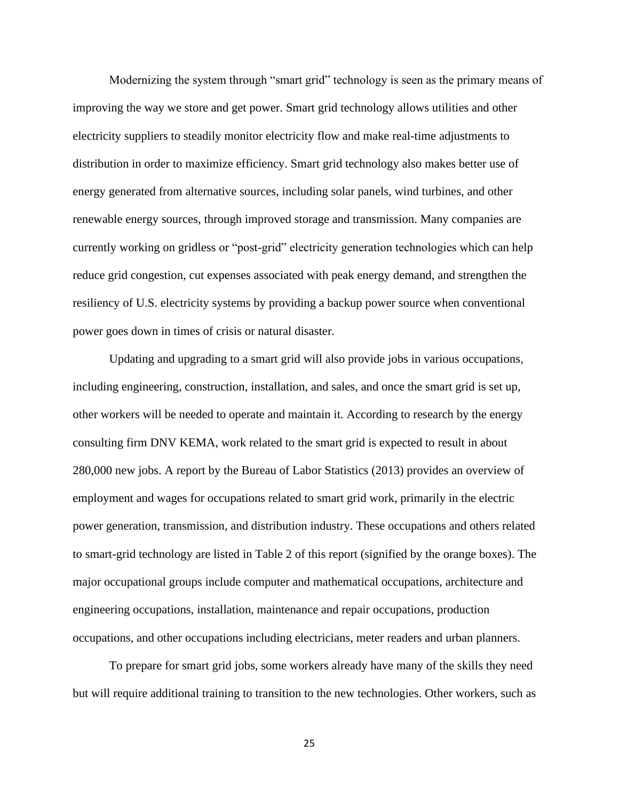Modernizing the system through "smart grid" technology is seen as the primary means of improving the way we store and get power. Smart grid technology allows utilities and other electricity suppliers to steadily monitor electricity flow and make real-time adjustments to distribution in order to maximize efficiency. Smart grid technology also makes better use of energy generated from alternative sources, including solar panels, wind turbines, and other renewable energy sources, through improved storage and transmission. Many companies are currently working on gridless or "post-grid" electricity generation technologies which can help reduce grid congestion, cut expenses associated with peak energy demand, and strengthen the resiliency of U.S. electricity systems by providing a backup power source when conventional power goes down in times of crisis or natural disaster.

Updating and upgrading to a smart grid will also provide jobs in various occupations, including engineering, construction, installation, and sales, and once the smart grid is set up, other workers will be needed to operate and maintain it. According to research by the energy consulting firm DNV KEMA, work related to the smart grid is expected to result in about 280,000 new jobs. A report by the Bureau of Labor Statistics (2013) provides an overview of employment and wages for occupations related to smart grid work, primarily in the electric power generation, transmission, and distribution industry. These occupations and others related to smart-grid technology are listed in Table 2 of this report (signified by the orange boxes). The major occupational groups include computer and mathematical occupations, architecture and engineering occupations, installation, maintenance and repair occupations, production occupations, and other occupations including electricians, meter readers and urban planners.

To prepare for smart grid jobs, some workers already have many of the skills they need but will require additional training to transition to the new technologies. Other workers, such as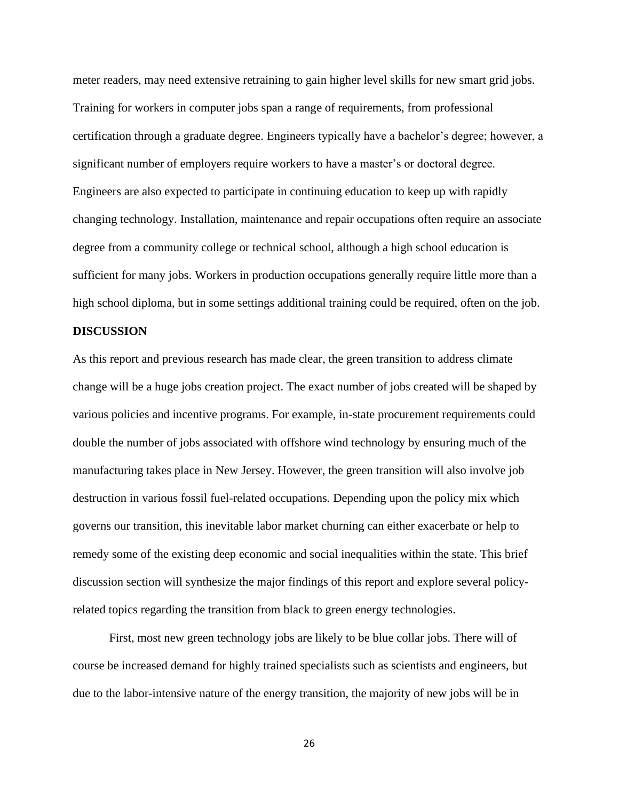meter readers, may need extensive retraining to gain higher level skills for new smart grid jobs. Training for workers in computer jobs span a range of requirements, from professional certification through a graduate degree. Engineers typically have a bachelor's degree; however, a significant number of employers require workers to have a master's or doctoral degree. Engineers are also expected to participate in continuing education to keep up with rapidly changing technology. Installation, maintenance and repair occupations often require an associate degree from a community college or technical school, although a high school education is sufficient for many jobs. Workers in production occupations generally require little more than a high school diploma, but in some settings additional training could be required, often on the job.

#### **DISCUSSION**

As this report and previous research has made clear, the green transition to address climate change will be a huge jobs creation project. The exact number of jobs created will be shaped by various policies and incentive programs. For example, in-state procurement requirements could double the number of jobs associated with offshore wind technology by ensuring much of the manufacturing takes place in New Jersey. However, the green transition will also involve job destruction in various fossil fuel-related occupations. Depending upon the policy mix which governs our transition, this inevitable labor market churning can either exacerbate or help to remedy some of the existing deep economic and social inequalities within the state. This brief discussion section will synthesize the major findings of this report and explore several policyrelated topics regarding the transition from black to green energy technologies.

First, most new green technology jobs are likely to be blue collar jobs. There will of course be increased demand for highly trained specialists such as scientists and engineers, but due to the labor-intensive nature of the energy transition, the majority of new jobs will be in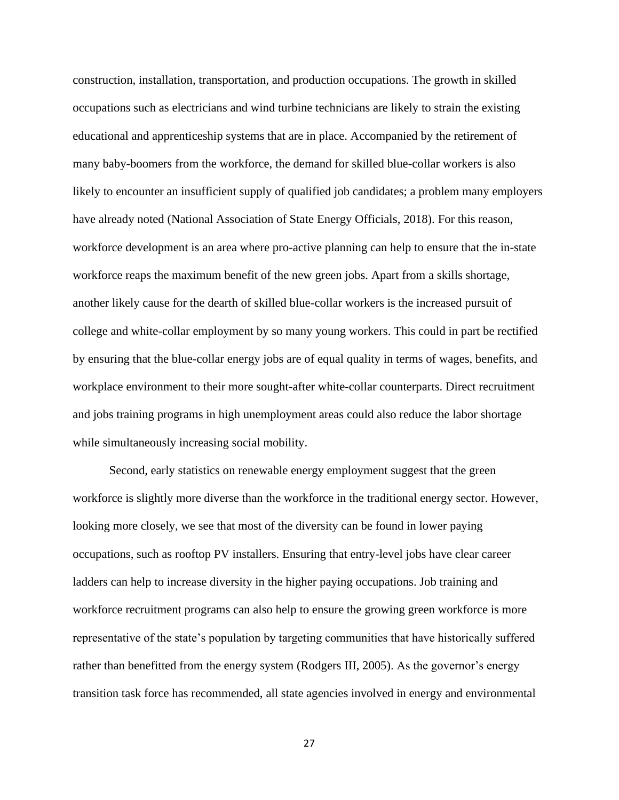construction, installation, transportation, and production occupations. The growth in skilled occupations such as electricians and wind turbine technicians are likely to strain the existing educational and apprenticeship systems that are in place. Accompanied by the retirement of many baby-boomers from the workforce, the demand for skilled blue-collar workers is also likely to encounter an insufficient supply of qualified job candidates; a problem many employers have already noted (National Association of State Energy Officials, 2018). For this reason, workforce development is an area where pro-active planning can help to ensure that the in-state workforce reaps the maximum benefit of the new green jobs. Apart from a skills shortage, another likely cause for the dearth of skilled blue-collar workers is the increased pursuit of college and white-collar employment by so many young workers. This could in part be rectified by ensuring that the blue-collar energy jobs are of equal quality in terms of wages, benefits, and workplace environment to their more sought-after white-collar counterparts. Direct recruitment and jobs training programs in high unemployment areas could also reduce the labor shortage while simultaneously increasing social mobility.

Second, early statistics on renewable energy employment suggest that the green workforce is slightly more diverse than the workforce in the traditional energy sector. However, looking more closely, we see that most of the diversity can be found in lower paying occupations, such as rooftop PV installers. Ensuring that entry-level jobs have clear career ladders can help to increase diversity in the higher paying occupations. Job training and workforce recruitment programs can also help to ensure the growing green workforce is more representative of the state's population by targeting communities that have historically suffered rather than benefitted from the energy system (Rodgers III, 2005). As the governor's energy transition task force has recommended, all state agencies involved in energy and environmental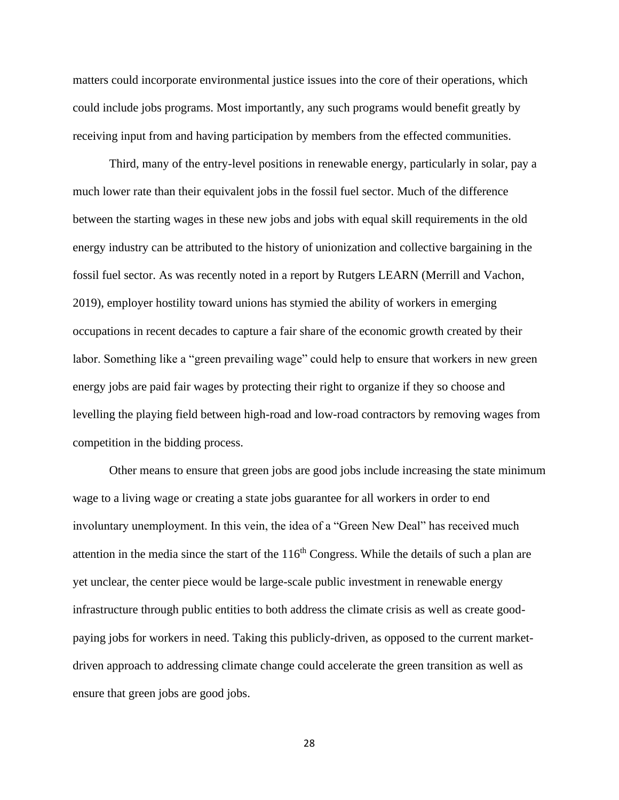matters could incorporate environmental justice issues into the core of their operations, which could include jobs programs. Most importantly, any such programs would benefit greatly by receiving input from and having participation by members from the effected communities.

Third, many of the entry-level positions in renewable energy, particularly in solar, pay a much lower rate than their equivalent jobs in the fossil fuel sector. Much of the difference between the starting wages in these new jobs and jobs with equal skill requirements in the old energy industry can be attributed to the history of unionization and collective bargaining in the fossil fuel sector. As was recently noted in a report by Rutgers LEARN (Merrill and Vachon, 2019), employer hostility toward unions has stymied the ability of workers in emerging occupations in recent decades to capture a fair share of the economic growth created by their labor. Something like a "green prevailing wage" could help to ensure that workers in new green energy jobs are paid fair wages by protecting their right to organize if they so choose and levelling the playing field between high-road and low-road contractors by removing wages from competition in the bidding process.

Other means to ensure that green jobs are good jobs include increasing the state minimum wage to a living wage or creating a state jobs guarantee for all workers in order to end involuntary unemployment. In this vein, the idea of a "Green New Deal" has received much attention in the media since the start of the  $116<sup>th</sup>$  Congress. While the details of such a plan are yet unclear, the center piece would be large-scale public investment in renewable energy infrastructure through public entities to both address the climate crisis as well as create goodpaying jobs for workers in need. Taking this publicly-driven, as opposed to the current marketdriven approach to addressing climate change could accelerate the green transition as well as ensure that green jobs are good jobs.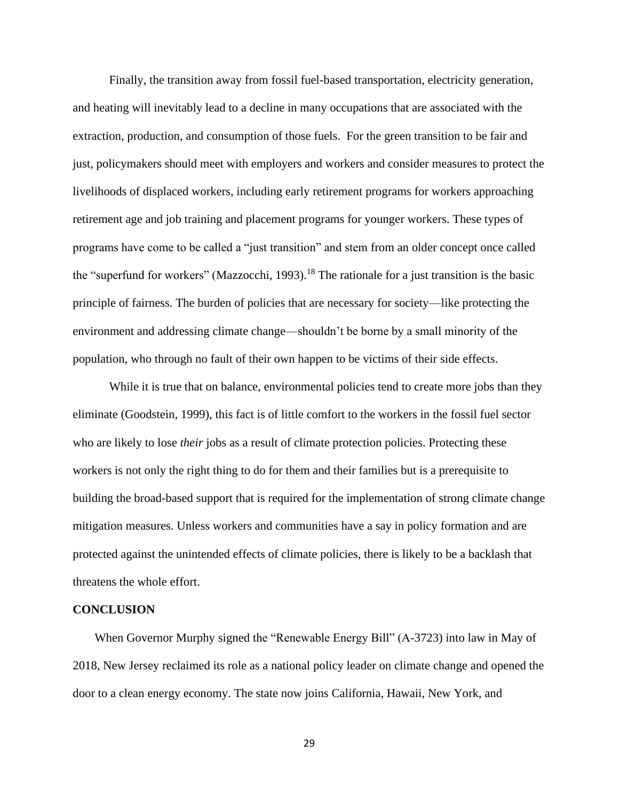Finally, the transition away from fossil fuel-based transportation, electricity generation, and heating will inevitably lead to a decline in many occupations that are associated with the extraction, production, and consumption of those fuels. For the green transition to be fair and just, policymakers should meet with employers and workers and consider measures to protect the livelihoods of displaced workers, including early retirement programs for workers approaching retirement age and job training and placement programs for younger workers. These types of programs have come to be called a "just transition" and stem from an older concept once called the "superfund for workers" (Mazzocchi, 1993).<sup>18</sup> The rationale for a just transition is the basic principle of fairness. The burden of policies that are necessary for society—like protecting the environment and addressing climate change—shouldn't be borne by a small minority of the population, who through no fault of their own happen to be victims of their side effects.

While it is true that on balance, environmental policies tend to create more jobs than they eliminate (Goodstein, 1999), this fact is of little comfort to the workers in the fossil fuel sector who are likely to lose *their* jobs as a result of climate protection policies. Protecting these workers is not only the right thing to do for them and their families but is a prerequisite to building the broad-based support that is required for the implementation of strong climate change mitigation measures. Unless workers and communities have a say in policy formation and are protected against the unintended effects of climate policies, there is likely to be a backlash that threatens the whole effort.

#### **CONCLUSION**

When Governor Murphy signed the "Renewable Energy Bill" (A-3723) into law in May of 2018, New Jersey reclaimed its role as a national policy leader on climate change and opened the door to a clean energy economy. The state now joins California, Hawaii, New York, and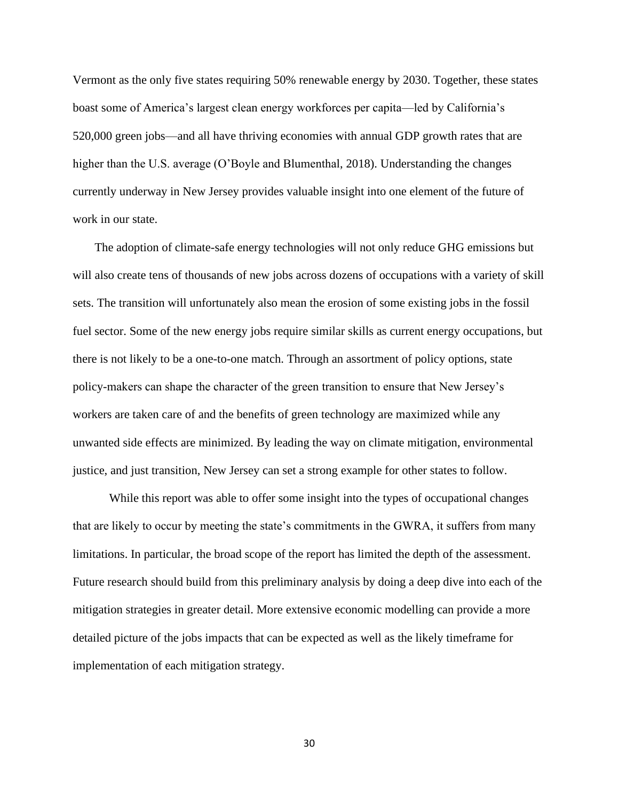Vermont as the only five states requiring 50% renewable energy by 2030. Together, these states boast some of America's largest clean energy workforces per capita—led by California's 520,000 green jobs—and all have thriving economies with annual GDP growth rates that are higher than the U.S. average (O'Boyle and Blumenthal, 2018). Understanding the changes currently underway in New Jersey provides valuable insight into one element of the future of work in our state.

The adoption of climate-safe energy technologies will not only reduce GHG emissions but will also create tens of thousands of new jobs across dozens of occupations with a variety of skill sets. The transition will unfortunately also mean the erosion of some existing jobs in the fossil fuel sector. Some of the new energy jobs require similar skills as current energy occupations, but there is not likely to be a one-to-one match. Through an assortment of policy options, state policy-makers can shape the character of the green transition to ensure that New Jersey's workers are taken care of and the benefits of green technology are maximized while any unwanted side effects are minimized. By leading the way on climate mitigation, environmental justice, and just transition, New Jersey can set a strong example for other states to follow.

While this report was able to offer some insight into the types of occupational changes that are likely to occur by meeting the state's commitments in the GWRA, it suffers from many limitations. In particular, the broad scope of the report has limited the depth of the assessment. Future research should build from this preliminary analysis by doing a deep dive into each of the mitigation strategies in greater detail. More extensive economic modelling can provide a more detailed picture of the jobs impacts that can be expected as well as the likely timeframe for implementation of each mitigation strategy.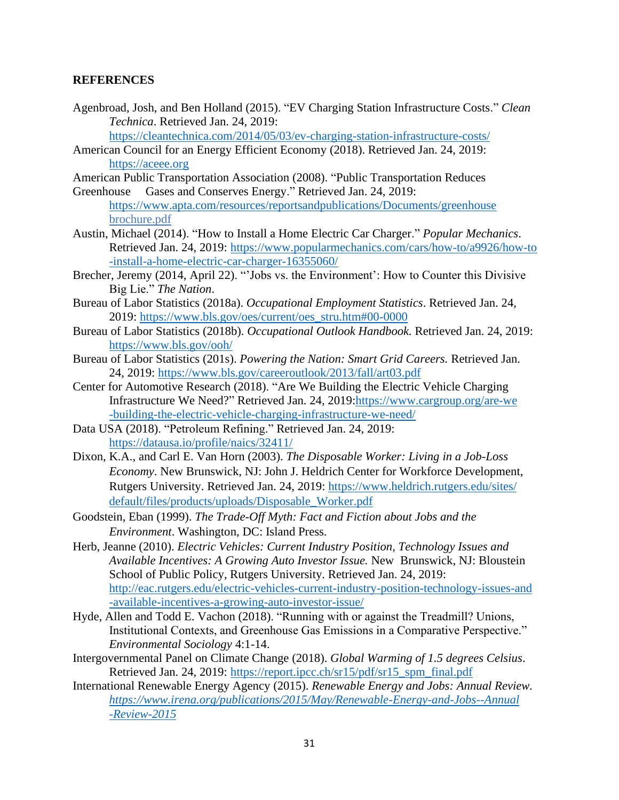### **REFERENCES**

Agenbroad, Josh, and Ben Holland (2015). "EV Charging Station Infrastructure Costs." *Clean Technica*. Retrieved Jan. 24, 2019:

<https://cleantechnica.com/2014/05/03/ev-charging-station-infrastructure-costs/>

- American Council for an Energy Efficient Economy (2018). Retrieved Jan. 24, 2019: [https://aceee.org](https://aceee.org/)
- American Public Transportation Association (2008). "Public Transportation Reduces
- Greenhouse Gases and Conserves Energy." Retrieved Jan. 24, 2019: <https://www.apta.com/resources/reportsandpublications/Documents/greenhouse> brochure.pdf
- Austin, Michael (2014). "How to Install a Home Electric Car Charger." *Popular Mechanics*. Retrieved Jan. 24, 2019: [https://www.popularmechanics.com/cars/how-to/a9926/how-to](https://www.popularmechanics.com/cars/how-to/a9926/how-to%09-install-a-home-electric-car-charger-16355060/) [-install-a-home-electric-car-charger-16355060/](https://www.popularmechanics.com/cars/how-to/a9926/how-to%09-install-a-home-electric-car-charger-16355060/)
- Brecher, Jeremy (2014, April 22). "'Jobs vs. the Environment': How to Counter this Divisive Big Lie." *The Nation*.
- Bureau of Labor Statistics (2018a). *Occupational Employment Statistics*. Retrieved Jan. 24, 2019: [https://www.bls.gov/oes/current/oes\\_stru.htm#00-0000](https://www.bls.gov/oes/current/oes_stru.htm#00-0000)
- Bureau of Labor Statistics (2018b). *Occupational Outlook Handbook.* Retrieved Jan. 24, 2019: <https://www.bls.gov/ooh/>
- Bureau of Labor Statistics (201s). *Powering the Nation: Smart Grid Careers.* Retrieved Jan. 24, 2019:<https://www.bls.gov/careeroutlook/2013/fall/art03.pdf>
- Center for Automotive Research (2018). "Are We Building the Electric Vehicle Charging Infrastructure We Need?" Retrieved Jan. 24, 2019[:https://www.cargroup.org/are-we](https://www.cargroup.org/are-we%09-building-the-electric-vehicle-charging-infrastructure-we-need/) [-building-the-electric-vehicle-charging-infrastructure-we-need/](https://www.cargroup.org/are-we%09-building-the-electric-vehicle-charging-infrastructure-we-need/)
- Data USA (2018). "Petroleum Refining." Retrieved Jan. 24, 2019: <https://datausa.io/profile/naics/32411/>
- Dixon, K.A., and Carl E. Van Horn (2003). *The Disposable Worker: Living in a Job-Loss Economy*. New Brunswick, NJ: John J. Heldrich Center for Workforce Development, Rutgers University. Retrieved Jan. 24, 2019: [https://www.heldrich.rutgers.edu/sites/](https://www.heldrich.rutgers.edu/sites/%09default/files/products/uploads/Disposable_Worker.pdf) [default/files/products/uploads/Disposable\\_Worker.pdf](https://www.heldrich.rutgers.edu/sites/%09default/files/products/uploads/Disposable_Worker.pdf)
- Goodstein, Eban (1999). *The Trade-Off Myth: Fact and Fiction about Jobs and the Environment*. Washington, DC: Island Press.

Herb, Jeanne (2010). *Electric Vehicles: Current Industry Position, Technology Issues and Available Incentives: A Growing Auto Investor Issue.* New Brunswick, NJ: Bloustein School of Public Policy, Rutgers University. Retrieved Jan. 24, 2019: [http://eac.rutgers.edu/electric-vehicles-current-industry-position-technology-issues-and](http://eac.rutgers.edu/electric-vehicles-current-industry-position-technology-issues-and%09-available-incentives-a-growing-auto-investor-issue/) [-available-incentives-a-growing-auto-investor-issue/](http://eac.rutgers.edu/electric-vehicles-current-industry-position-technology-issues-and%09-available-incentives-a-growing-auto-investor-issue/)

- Hyde, Allen and Todd E. Vachon (2018). "Running with or against the Treadmill? Unions, Institutional Contexts, and Greenhouse Gas Emissions in a Comparative Perspective." *Environmental Sociology* 4:1-14.
- Intergovernmental Panel on Climate Change (2018). *Global Warming of 1.5 degrees Celsius*. Retrieved Jan. 24, 2019: [https://report.ipcc.ch/sr15/pdf/sr15\\_spm\\_final.pdf](https://report.ipcc.ch/sr15/pdf/sr15_spm_final.pdf)
- International Renewable Energy Agency (2015). *Renewable Energy and Jobs: Annual Review. [https://www.irena.org/publications/2015/May/Renewable-Energy-and-Jobs--Annual](https://www.irena.org/publications/2015/May/Renewable-Energy-and-Jobs--Annual%09-Review-2015) [-Review-2015](https://www.irena.org/publications/2015/May/Renewable-Energy-and-Jobs--Annual%09-Review-2015)*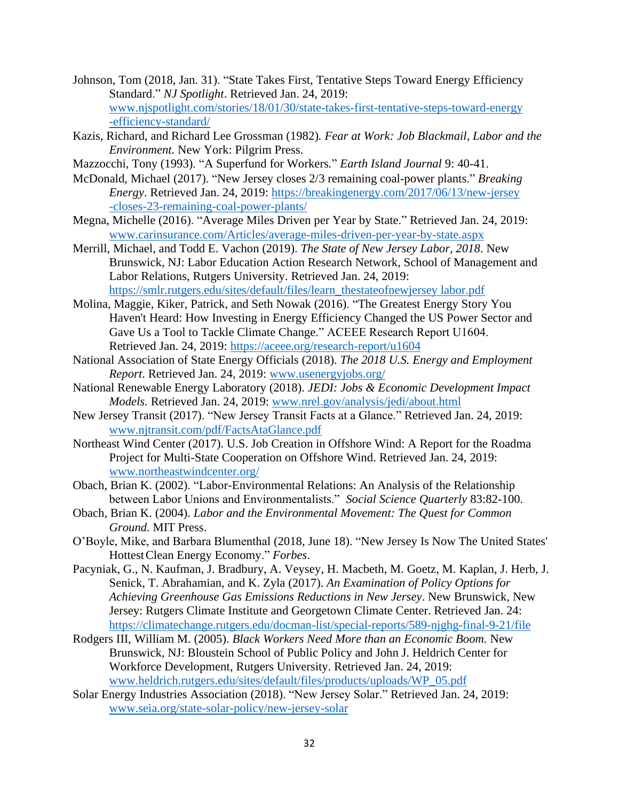- Johnson, Tom (2018, Jan. 31). "State Takes First, Tentative Steps Toward Energy Efficiency Standard." *NJ Spotlight*. Retrieved Jan. 24, 2019: [www.njspotlight.com/stories/18/01/30/state-takes-first-tentative-steps-toward-energy](http://www.njspotlight.com/stories/18/01/30/state-takes-first-tentative-steps-toward-energy%09-efficiency-standard/) [-efficiency-standard/](http://www.njspotlight.com/stories/18/01/30/state-takes-first-tentative-steps-toward-energy%09-efficiency-standard/)
- Kazis, Richard, and Richard Lee Grossman (1982)*. Fear at Work: Job Blackmail, Labor and the Environment.* New York: Pilgrim Press.
- Mazzocchi*,* Tony (1993). "A Superfund for Workers*.*" *Earth Island Journal* 9: 40-41.
- McDonald, Michael (2017). "New Jersey closes 2/3 remaining coal-power plants." *Breaking Energy*. Retrieved Jan. 24, 2019: [https://breakingenergy.com/2017/06/13/new-jersey](https://breakingenergy.com/2017/06/13/new-jersey%09-closes-23-remaining-coal-power-plants/) [-closes-23-remaining-coal-power-plants/](https://breakingenergy.com/2017/06/13/new-jersey%09-closes-23-remaining-coal-power-plants/)
- Megna, Michelle (2016). "Average Miles Driven per Year by State." Retrieved Jan. 24, 2019: [www.carinsurance.com/Articles/average-miles-driven-per-year-by-state.aspx](http://www.carinsurance.com/Articles/average-miles-driven-per-year-by-state.aspx)
- Merrill, Michael, and Todd E. Vachon (2019). *The State of New Jersey Labor, 2018*. New Brunswick, NJ: Labor Education Action Research Network, School of Management and Labor Relations, Rutgers University. Retrieved Jan. 24, 2019: [https://smlr.rutgers.edu/sites/default/files/learn\\_thestateofnewjersey labor.pdf](https://smlr.rutgers.edu/sites/default/files/learn_thestateofnewjersey%20labor.pdf)
- Molina, Maggie, Kiker, Patrick, and Seth Nowak (2016). "The Greatest Energy Story You Haven't Heard: How Investing in Energy Efficiency Changed the US Power Sector and Gave Us a Tool to Tackle Climate Change." ACEEE Research Report U1604. Retrieved Jan. 24, 2019:<https://aceee.org/research-report/u1604>
- National Association of State Energy Officials (2018). *The 2018 U.S. Energy and Employment Report*. Retrieved Jan. 24, 2019: [www.usenergyjobs.org/](https://www.usenergyjobs.org/)
- National Renewable Energy Laboratory (2018). *JEDI: Jobs & Economic Development Impact Models.* Retrieved Jan. 24, 2019: [www.nrel.gov/analysis/jedi/about.html](https://www.nrel.gov/analysis/jedi/about.html)
- New Jersey Transit (2017). "New Jersey Transit Facts at a Glance." Retrieved Jan. 24, 2019: [www.njtransit.com/pdf/FactsAtaGlance.pdf](http://www.njtransit.com/pdf/FactsAtaGlance.pdf)
- Northeast Wind Center (2017). U.S. Job Creation in Offshore Wind: A Report for the Roadma Project for Multi-State Cooperation on Offshore Wind. Retrieved Jan. 24, 2019: [www.northeastwindcenter.org/](http://www.northeastwindcenter.org/)
- Obach, Brian K. (2002). "Labor-Environmental Relations: An Analysis of the Relationship between Labor Unions and Environmentalists." *Social Science Quarterly* 83:82-100.
- Obach, Brian K. (2004). *Labor and the Environmental Movement: The Quest for Common Ground.* MIT Press.
- O'Boyle, Mike, and Barbara Blumenthal (2018, June 18). "New Jersey Is Now The United States' HottestClean Energy Economy." *Forbes*.
- Pacyniak, G., N. Kaufman, J. Bradbury, A. Veysey, H. Macbeth, M. Goetz, M. Kaplan, J. Herb, J. Senick, T. Abrahamian, and K. Zyla (2017). *An Examination of Policy Options for Achieving Greenhouse Gas Emissions Reductions in New Jersey*. New Brunswick, New Jersey: Rutgers Climate Institute and Georgetown Climate Center. Retrieved Jan. 24: <https://climatechange.rutgers.edu/docman-list/special-reports/589-njghg-final-9-21/file>
- Rodgers III, William M. (2005). *Black Workers Need More than an Economic Boom.* New Brunswick, NJ: Bloustein School of Public Policy and John J. Heldrich Center for Workforce Development, Rutgers University. Retrieved Jan. 24, 2019: [www.heldrich.rutgers.edu/sites/default/files/products/uploads/WP\\_05.pdf](http://www.heldrich.rutgers.edu/sites/default/files/products/uploads/WP_05.pdf)
- Solar Energy Industries Association (2018). "New Jersey Solar." Retrieved Jan. 24, 2019: [www.seia.org/state-solar-policy/new-jersey-solar](http://www.seia.org/state-solar-policy/new-jersey-solar)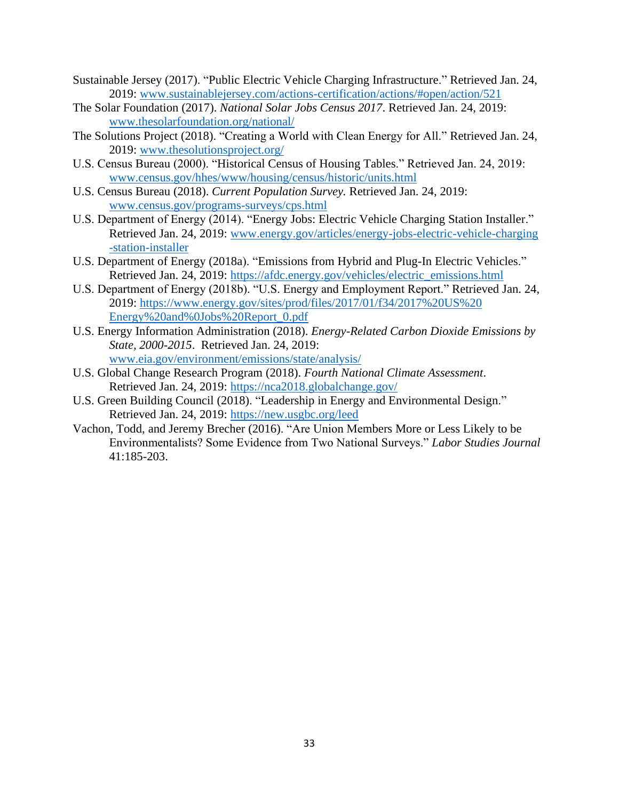- Sustainable Jersey (2017). "Public Electric Vehicle Charging Infrastructure." Retrieved Jan. 24, 2019: [www.sustainablejersey.com/actions-certification/actions/#open/action/521](http://www.sustainablejersey.com/actions-certification/actions/#open/action/521)
- The Solar Foundation (2017). *National Solar Jobs Census 2017*. Retrieved Jan. 24, 2019: [www.thesolarfoundation.org/national/](http://www.thesolarfoundation.org/national/)
- The Solutions Project (2018). "Creating a World with Clean Energy for All." Retrieved Jan. 24, 2019: [www.thesolutionsproject.org/](http://www.thesolutionsproject.org/)
- U.S. Census Bureau (2000). "Historical Census of Housing Tables." Retrieved Jan. 24, 2019: [www.census.gov/hhes/www/housing/census/historic/units.html](http://www.census.gov/hhes/www/housing/census/historic/units.html)
- U.S. Census Bureau (2018). *Current Population Survey.* Retrieved Jan. 24, 2019: [www.census.gov/programs-surveys/cps.html](http://www.census.gov/programs-surveys/cps.html)
- U.S. Department of Energy (2014). "Energy Jobs: Electric Vehicle Charging Station Installer." Retrieved Jan. 24, 2019: [www.energy.gov/articles/energy-jobs-electric-vehicle-charging](http://www.energy.gov/articles/energy-jobs-electric-vehicle-charging%09-station-installer) [-station-installer](http://www.energy.gov/articles/energy-jobs-electric-vehicle-charging%09-station-installer)
- U.S. Department of Energy (2018a). "Emissions from Hybrid and Plug-In Electric Vehicles." Retrieved Jan. 24, 2019: [https://afdc.energy.gov/vehicles/electric\\_emissions.html](https://afdc.energy.gov/vehicles/electric_emissions.html)
- U.S. Department of Energy (2018b). "U.S. Energy and Employment Report." Retrieved Jan. 24, 2019: [https://www.energy.gov/sites/prod/files/2017/01/f34/2017%20US%20](https://www.energy.gov/sites/prod/files/2017/01/f34/2017%20US%20%09Energy%20and%250Jobs%20Report_0.pdf) [Energy%20and%0Jobs%20Report\\_0.pdf](https://www.energy.gov/sites/prod/files/2017/01/f34/2017%20US%20%09Energy%20and%250Jobs%20Report_0.pdf)
- U.S. Energy Information Administration (2018). *Energy-Related Carbon Dioxide Emissions by State, 2000-2015*. Retrieved Jan. 24, 2019: [www.eia.gov/environment/emissions/state/analysis/](http://www.eia.gov/environment/emissions/state/analysis/)
- U.S. Global Change Research Program (2018). *Fourth National Climate Assessment*. Retrieved Jan. 24, 2019:<https://nca2018.globalchange.gov/>
- U.S. Green Building Council (2018). "Leadership in Energy and Environmental Design." Retrieved Jan. 24, 2019:<https://new.usgbc.org/leed>
- Vachon, Todd, and Jeremy Brecher (2016). "Are Union Members More or Less Likely to be Environmentalists? Some Evidence from Two National Surveys." *Labor Studies Journal* 41:185-203.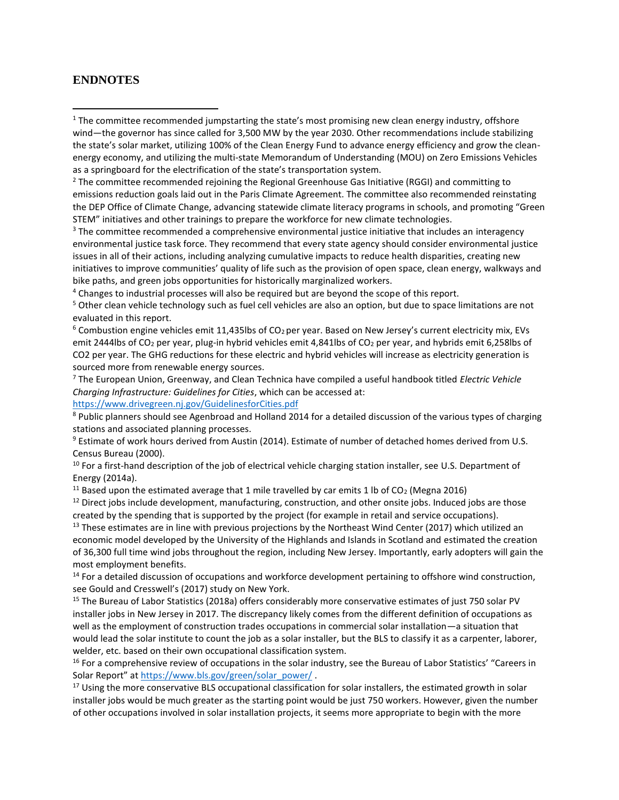### **ENDNOTES**

<sup>1</sup> The committee recommended jumpstarting the state's most promising new clean energy industry, offshore wind—the governor has since called for 3,500 MW by the year 2030. Other recommendations include stabilizing the state's solar market, utilizing 100% of the Clean Energy Fund to advance energy efficiency and grow the cleanenergy economy, and utilizing the multi-state Memorandum of Understanding (MOU) on Zero Emissions Vehicles as a springboard for the electrification of the state's transportation system.

 $<sup>2</sup>$  The committee recommended rejoining the Regional Greenhouse Gas Initiative (RGGI) and committing to</sup> emissions reduction goals laid out in the Paris Climate Agreement. The committee also recommended reinstating the DEP Office of Climate Change, advancing statewide climate literacy programs in schools, and promoting "Green STEM" initiatives and other trainings to prepare the workforce for new climate technologies.

<sup>3</sup> The committee recommended a comprehensive environmental justice initiative that includes an interagency environmental justice task force. They recommend that every state agency should consider environmental justice issues in all of their actions, including analyzing cumulative impacts to reduce health disparities, creating new initiatives to improve communities' quality of life such as the provision of open space, clean energy, walkways and bike paths, and green jobs opportunities for historically marginalized workers.

<sup>4</sup> Changes to industrial processes will also be required but are beyond the scope of this report.

<sup>5</sup> Other clean vehicle technology such as fuel cell vehicles are also an option, but due to space limitations are not evaluated in this report.

<sup>6</sup> Combustion engine vehicles emit 11,435lbs of CO<sub>2</sub> per year. Based on New Jersey's current electricity mix, EVs emit 2444lbs of CO<sub>2</sub> per year, plug-in hybrid vehicles emit 4,841lbs of CO<sub>2</sub> per year, and hybrids emit 6,258lbs of CO2 per year. The GHG reductions for these electric and hybrid vehicles will increase as electricity generation is sourced more from renewable energy sources.

<sup>7</sup> The European Union, Greenway, and Clean Technica have compiled a useful handbook titled *Electric Vehicle Charging Infrastructure: Guidelines for Cities*, which can be accessed at:

#### <https://www.drivegreen.nj.gov/GuidelinesforCities.pdf>

<sup>8</sup> Public planners should see Agenbroad and Holland 2014 for a detailed discussion of the various types of charging stations and associated planning processes.

<sup>9</sup> Estimate of work hours derived from Austin (2014). Estimate of number of detached homes derived from U.S. Census Bureau (2000).

<sup>10</sup> For a first-hand description of the job of electrical vehicle charging station installer, see U.S. Department of Energy (2014a).

<sup>11</sup> Based upon the estimated average that 1 mile travelled by car emits 1 lb of CO<sub>2</sub> (Megna 2016)

 $12$  Direct jobs include development, manufacturing, construction, and other onsite jobs. Induced jobs are those created by the spending that is supported by the project (for example in retail and service occupations).

<sup>13</sup> These estimates are in line with previous projections by the Northeast Wind Center (2017) which utilized an economic model developed by the University of the Highlands and Islands in Scotland and estimated the creation of 36,300 full time wind jobs throughout the region, including New Jersey. Importantly, early adopters will gain the most employment benefits.

<sup>14</sup> For a detailed discussion of occupations and workforce development pertaining to offshore wind construction, see Gould and Cresswell's (2017) study on New York.

<sup>15</sup> The Bureau of Labor Statistics (2018a) offers considerably more conservative estimates of just 750 solar PV installer jobs in New Jersey in 2017. The discrepancy likely comes from the different definition of occupations as well as the employment of construction trades occupations in commercial solar installation—a situation that would lead the solar institute to count the job as a solar installer, but the BLS to classify it as a carpenter, laborer, welder, etc. based on their own occupational classification system.

<sup>16</sup> For a comprehensive review of occupations in the solar industry, see the Bureau of Labor Statistics' "Careers in Solar Report" at [https://www.bls.gov/green/solar\\_power/](https://www.bls.gov/green/solar_power/).

<sup>17</sup> Using the more conservative BLS occupational classification for solar installers, the estimated growth in solar installer jobs would be much greater as the starting point would be just 750 workers. However, given the number of other occupations involved in solar installation projects, it seems more appropriate to begin with the more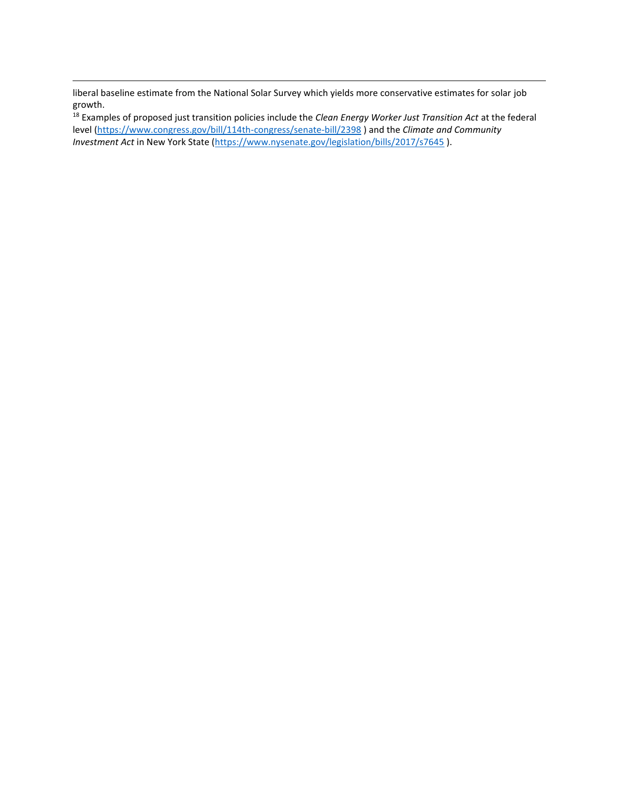liberal baseline estimate from the National Solar Survey which yields more conservative estimates for solar job growth.

<sup>18</sup> Examples of proposed just transition policies include the *Clean Energy Worker Just Transition Act* at the federal level [\(https://www.congress.gov/bill/114th-congress/senate-bill/2398](https://www.congress.gov/bill/114th-congress/senate-bill/2398) ) and the *Climate and Community Investment Act* in New York State [\(https://www.nysenate.gov/legislation/bills/2017/s7645](https://www.nysenate.gov/legislation/bills/2017/s7645) ).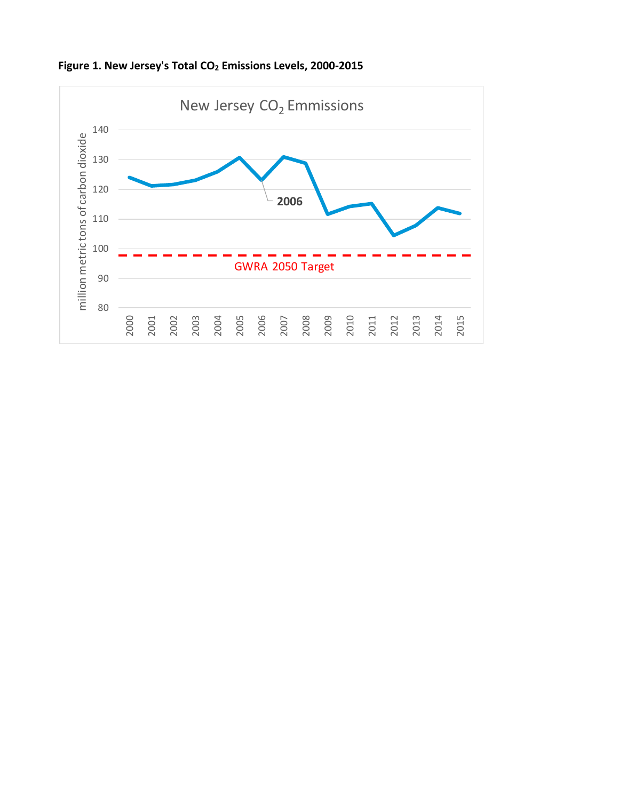

**Figure 1. New Jersey's Total CO<sup>2</sup> Emissions Levels, 2000-2015**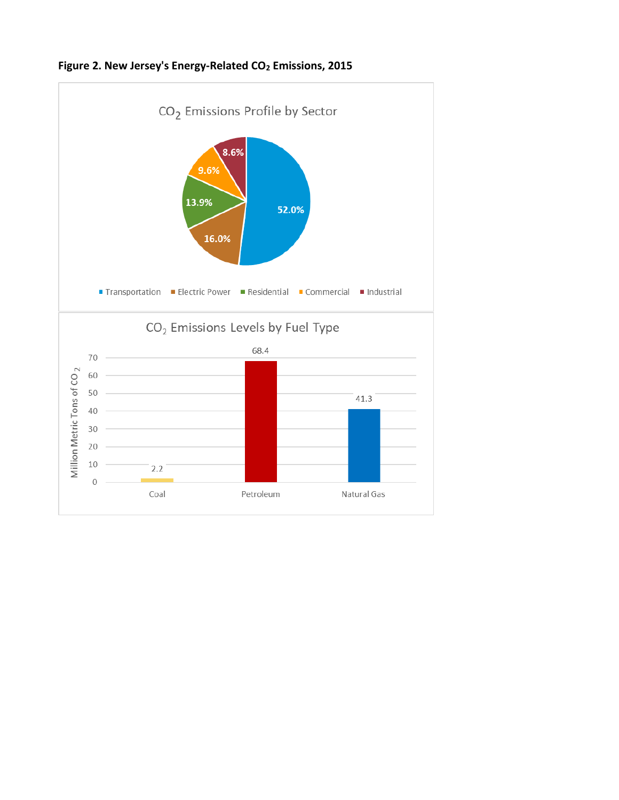

**Figure 2. New Jersey's Energy-Related CO<sup>2</sup> Emissions, 2015**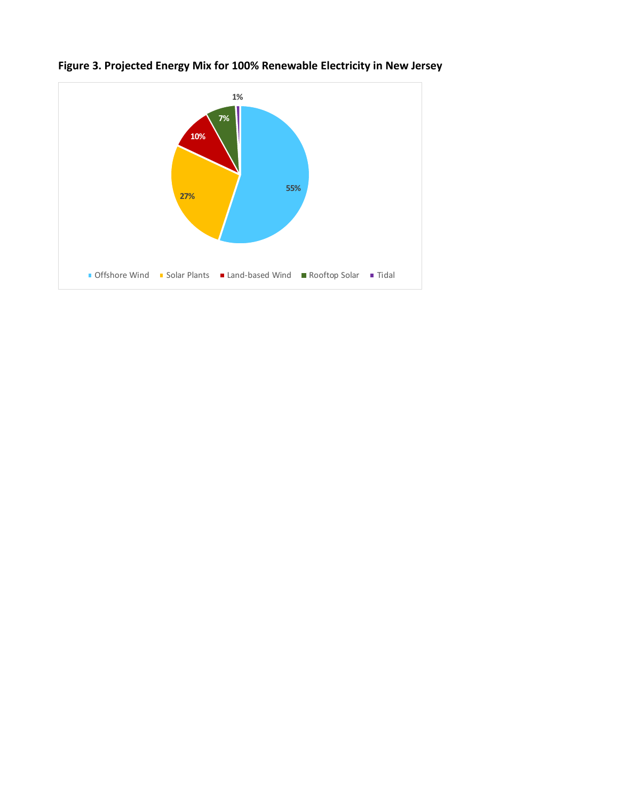

**Figure 3. Projected Energy Mix for 100% Renewable Electricity in New Jersey**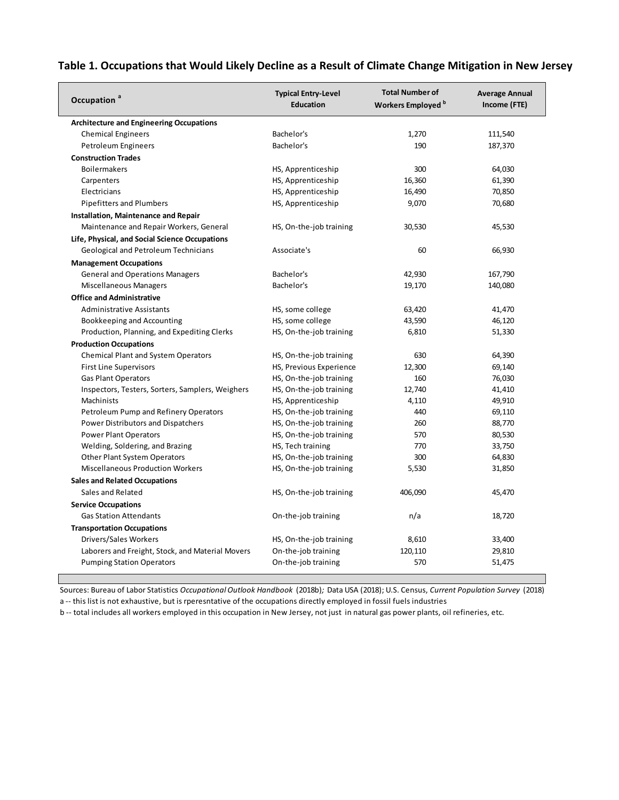# **Table 1. Occupations that Would Likely Decline as a Result of Climate Change Mitigation in New Jersey**

| Occupation <sup>a</sup>                          | <b>Typical Entry-Level</b><br><b>Education</b> | <b>Total Number of</b><br>Workers Employed <sup>b</sup> | <b>Average Annual</b><br>Income (FTE) |
|--------------------------------------------------|------------------------------------------------|---------------------------------------------------------|---------------------------------------|
| <b>Architecture and Engineering Occupations</b>  |                                                |                                                         |                                       |
| <b>Chemical Engineers</b>                        | Bachelor's                                     | 1,270                                                   | 111,540                               |
| Petroleum Engineers                              | Bachelor's                                     | 190                                                     | 187,370                               |
| <b>Construction Trades</b>                       |                                                |                                                         |                                       |
| <b>Boilermakers</b>                              | HS, Apprenticeship                             | 300                                                     | 64,030                                |
| Carpenters                                       | HS, Apprenticeship                             | 16,360                                                  | 61,390                                |
| Electricians                                     | HS, Apprenticeship                             | 16,490                                                  | 70,850                                |
| <b>Pipefitters and Plumbers</b>                  | HS, Apprenticeship                             | 9,070                                                   | 70,680                                |
| Installation, Maintenance and Repair             |                                                |                                                         |                                       |
| Maintenance and Repair Workers, General          | HS, On-the-job training                        | 30,530                                                  | 45,530                                |
| Life, Physical, and Social Science Occupations   |                                                |                                                         |                                       |
| Geological and Petroleum Technicians             | Associate's                                    | 60                                                      | 66,930                                |
| <b>Management Occupations</b>                    |                                                |                                                         |                                       |
| <b>General and Operations Managers</b>           | Bachelor's                                     | 42,930                                                  | 167,790                               |
| <b>Miscellaneous Managers</b>                    | Bachelor's                                     | 19,170                                                  | 140,080                               |
| <b>Office and Administrative</b>                 |                                                |                                                         |                                       |
| <b>Administrative Assistants</b>                 | HS, some college                               | 63,420                                                  | 41,470                                |
| Bookkeeping and Accounting                       | HS, some college                               | 43,590                                                  | 46,120                                |
| Production, Planning, and Expediting Clerks      | HS, On-the-job training                        | 6,810                                                   | 51,330                                |
| <b>Production Occupations</b>                    |                                                |                                                         |                                       |
| <b>Chemical Plant and System Operators</b>       | HS, On-the-job training                        | 630                                                     | 64,390                                |
| <b>First Line Supervisors</b>                    | HS, Previous Experience                        | 12,300                                                  | 69,140                                |
| <b>Gas Plant Operators</b>                       | HS, On-the-job training                        | 160                                                     | 76,030                                |
| Inspectors, Testers, Sorters, Samplers, Weighers | HS, On-the-job training                        | 12,740                                                  | 41,410                                |
| Machinists                                       | HS, Apprenticeship                             | 4,110                                                   | 49,910                                |
| Petroleum Pump and Refinery Operators            | HS, On-the-job training                        | 440                                                     | 69,110                                |
| Power Distributors and Dispatchers               | HS, On-the-job training                        | 260                                                     | 88,770                                |
| <b>Power Plant Operators</b>                     | HS, On-the-job training                        | 570                                                     | 80,530                                |
| Welding, Soldering, and Brazing                  | HS, Tech training                              | 770                                                     | 33,750                                |
| <b>Other Plant System Operators</b>              | HS, On-the-job training                        | 300                                                     | 64,830                                |
| <b>Miscellaneous Production Workers</b>          | HS, On-the-job training                        | 5,530                                                   | 31,850                                |
| <b>Sales and Related Occupations</b>             |                                                |                                                         |                                       |
| Sales and Related                                | HS, On-the-job training                        | 406,090                                                 | 45,470                                |
| <b>Service Occupations</b>                       |                                                |                                                         |                                       |
| <b>Gas Station Attendants</b>                    | On-the-job training                            | n/a                                                     | 18,720                                |
| <b>Transportation Occupations</b>                |                                                |                                                         |                                       |
| Drivers/Sales Workers                            | HS, On-the-job training                        | 8,610                                                   | 33,400                                |
| Laborers and Freight, Stock, and Material Movers | On-the-job training                            | 120,110                                                 | 29,810                                |
| <b>Pumping Station Operators</b>                 | On-the-job training                            | 570                                                     | 51,475                                |

Sources: Bureau of Labor Statistics *Occupational Outlook Handbook* (2018b)*;* Data USA (2018); U.S. Census, *Current Population Survey* (2018)

a -- this list is not exhaustive, but is rperesntative of the occupations directly employed in fossil fuels industries

b -- total includes all workers employed in this occupation in New Jersey, not just in natural gas power plants, oil refineries, etc.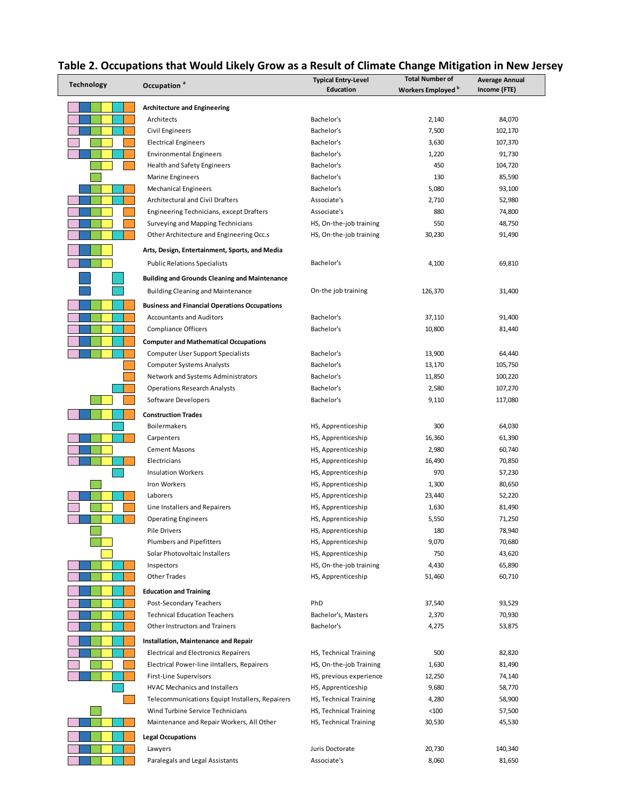| <b>Technology</b> | Occupation <sup>a</sup>                              | <b>Typical Entry-Level</b> | <b>Total Number of</b> | <b>Average Annual</b> |
|-------------------|------------------------------------------------------|----------------------------|------------------------|-----------------------|
|                   |                                                      | <b>Education</b>           | Workers Employed b     | Income (FTE)          |
|                   | <b>Architecture and Engineering</b>                  |                            |                        |                       |
|                   | Architects                                           | Bachelor's                 | 2,140                  | 84,070                |
|                   | Civil Engineers                                      | Bachelor's                 | 7,500                  | 102,170               |
|                   | <b>Electrical Engineers</b>                          | Bachelor's                 | 3,630                  | 107,370               |
|                   | <b>Environmental Engineers</b>                       | Bachelor's                 | 1,220                  | 91,730                |
|                   | Health and Safety Engineers                          | Bachelor's                 | 450                    | 104,720               |
|                   | Marine Engineers                                     | Bachelor's                 | 130                    | 85,590                |
|                   | <b>Mechanical Engineers</b>                          | Bachelor's                 | 5,080                  | 93,100                |
|                   | <b>Architectural and Civil Drafters</b>              | Associate's                | 2,710                  | 52,980                |
|                   | Engineering Technicians, except Drafters             | Associate's                | 880                    | 74,800                |
|                   | Surveying and Mapping Technicians                    | HS, On-the-job training    | 550                    | 48,750                |
|                   | Other Architecture and Engineering Occ.s             | HS, On-the-job training    | 30,230                 | 91,490                |
|                   | Arts, Design, Entertainment, Sports, and Media       |                            |                        |                       |
|                   | <b>Public Relations Specialists</b>                  | Bachelor's                 | 4,100                  | 69,810                |
|                   | <b>Building and Grounds Cleaning and Maintenance</b> |                            |                        |                       |
|                   | <b>Building Cleaning and Maintenance</b>             | On-the job training        | 126,370                | 31,400                |
|                   | <b>Business and Financial Operations Occupations</b> |                            |                        |                       |
|                   | <b>Accountants and Auditors</b>                      | Bachelor's                 | 37,110                 | 91,400                |
|                   | <b>Compliance Officers</b>                           | Bachelor's                 | 10,800                 | 81,440                |
|                   | <b>Computer and Mathematical Occupations</b>         |                            |                        |                       |
|                   | <b>Computer User Support Specialists</b>             | Bachelor's                 | 13,900                 | 64,440                |
|                   | <b>Computer Systems Analysts</b>                     | Bachelor's                 | 13,170                 | 105,750               |
|                   | Network and Systems Administrators                   | Bachelor's                 | 11,850                 | 100,220               |
|                   | <b>Operations Research Analysts</b>                  | Bachelor's                 | 2,580                  | 107,270               |
|                   | Software Developers                                  | Bachelor's                 | 9,110                  | 117,080               |
|                   | <b>Construction Trades</b>                           |                            |                        |                       |
|                   | <b>Boilermakers</b>                                  | HS, Apprenticeship         | 300                    | 64,030                |
|                   | Carpenters                                           | HS, Apprenticeship         | 16,360                 | 61,390                |
|                   | <b>Cement Masons</b>                                 | HS, Apprenticeship         | 2,980                  | 60,740                |
|                   | Electricians                                         | HS, Apprenticeship         | 16,490                 | 70,850                |
|                   | <b>Insulation Workers</b>                            | HS, Apprenticeship         | 970                    | 57,230                |
|                   | Iron Workers                                         | HS, Apprenticeship         | 1,300                  | 80,650                |
|                   | Laborers                                             | HS, Apprenticeship         | 23,440                 | 52,220                |
|                   | Line Installers and Repairers                        | HS, Apprenticeship         | 1,630                  | 81,490                |
|                   | <b>Operating Engineers</b>                           | HS, Apprenticeship         | 5,550                  | 71,250                |
|                   | <b>Pile Drivers</b>                                  | HS, Apprenticeship         | 180                    | 78,940                |
|                   | Plumbers and Pipefitters                             | HS, Apprenticeship         | 9,070                  | 70,680                |
|                   | Solar Photovoltaic Installers                        | HS, Apprenticeship         | 750                    | 43,620                |
|                   | Inspectors                                           | HS, On-the-job training    | 4,430                  | 65,890                |
|                   | <b>Other Trades</b>                                  | HS, Apprenticeship         | 51,460                 | 60,710                |
|                   | <b>Education and Training</b>                        |                            |                        |                       |
|                   | Post-Secondary Teachers                              | PhD                        | 37,540                 | 93,529                |
|                   | <b>Technical Education Teachers</b>                  | Bachelor's, Masters        | 2,370                  | 70,930                |
|                   | Other Instructors and Trainers                       | Bachelor's                 | 4,275                  | 53,875                |
|                   | Installation, Maintenance and Repair                 |                            |                        |                       |
|                   | <b>Electrical and Electronics Repairers</b>          | HS, Technical Training     | 500                    | 82,820                |
|                   | Electrical Power-line iIntallers, Repairers          | HS, On-the-job Training    | 1,630                  | 81,490                |
|                   | First-Line Supervisors                               | HS, previous experience    | 12,250                 | 74,140                |
|                   | <b>HVAC Mechanics and Installers</b>                 | HS, Apprenticeship         | 9,680                  | 58,770                |
|                   | Telecommunications Equipt Installers, Repairers      | HS, Technical Training     | 4,280                  | 58,900                |
|                   | Wind Turbine Service Technicians                     | HS, Technical Training     | < 100                  | 57,500                |
|                   | Maintenance and Repair Workers, All Other            | HS, Technical Training     | 30,530                 | 45,530                |
|                   | <b>Legal Occupations</b>                             |                            |                        |                       |
|                   | Lawyers                                              | Juris Doctorate            | 20,730                 | 140,340               |
|                   | Paralegals and Legal Assistants                      | Associate's                | 8,060                  | 81,650                |

# **Table 2. Occupations that Would Likely Grow as a Result of Climate Change Mitigation in New Jersey**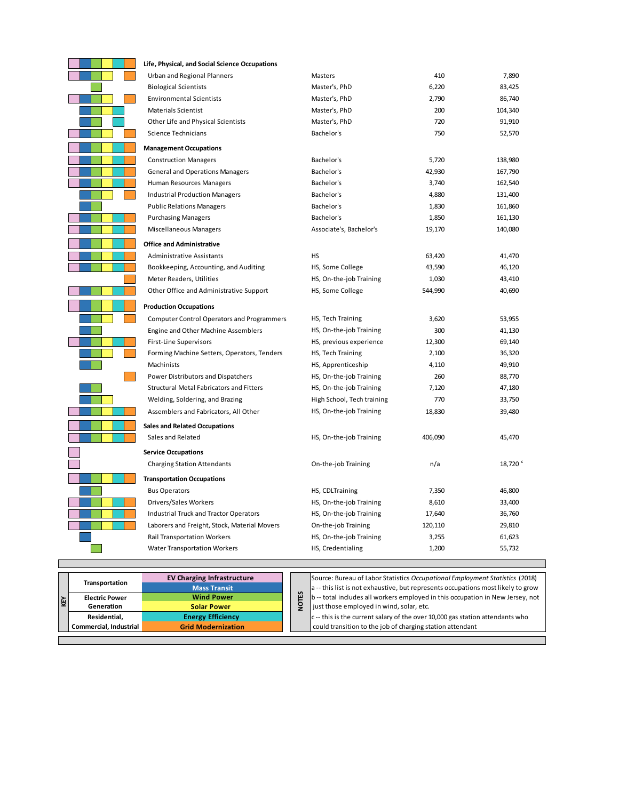| Life, Physical, and Social Science Occupations    |                            |         |                     |
|---------------------------------------------------|----------------------------|---------|---------------------|
| Urban and Regional Planners                       | Masters                    | 410     | 7,890               |
| <b>Biological Scientists</b>                      | Master's, PhD              | 6,220   | 83,425              |
| <b>Environmental Scientists</b>                   | Master's, PhD              | 2,790   | 86,740              |
| <b>Materials Scientist</b>                        | Master's, PhD              | 200     | 104,340             |
| Other Life and Physical Scientists                | Master's, PhD              | 720     | 91,910              |
| Science Technicians                               | Bachelor's                 | 750     | 52,570              |
| <b>Management Occupations</b>                     |                            |         |                     |
| <b>Construction Managers</b>                      | Bachelor's                 | 5,720   | 138,980             |
| <b>General and Operations Managers</b>            | Bachelor's                 | 42,930  | 167,790             |
| Human Resources Managers                          | Bachelor's                 | 3,740   | 162,540             |
| <b>Industrial Production Managers</b>             | Bachelor's                 | 4,880   | 131,400             |
| <b>Public Relations Managers</b>                  | Bachelor's                 | 1,830   | 161,860             |
| <b>Purchasing Managers</b>                        | Bachelor's                 | 1,850   | 161,130             |
| <b>Miscellaneous Managers</b>                     | Associate's, Bachelor's    | 19,170  | 140,080             |
| <b>Office and Administrative</b>                  |                            |         |                     |
| <b>Administrative Assistants</b>                  | HS                         | 63,420  | 41,470              |
| Bookkeeping, Accounting, and Auditing             | HS, Some College           | 43,590  | 46,120              |
| Meter Readers, Utilities                          | HS, On-the-job Training    | 1,030   | 43,410              |
| Other Office and Administrative Support           | HS, Some College           | 544,990 | 40,690              |
| <b>Production Occupations</b>                     |                            |         |                     |
| <b>Computer Control Operators and Programmers</b> | HS, Tech Training          | 3,620   | 53,955              |
| Engine and Other Machine Assemblers               | HS, On-the-job Training    | 300     | 41,130              |
| <b>First-Line Supervisors</b>                     | HS, previous experience    | 12,300  | 69,140              |
| Forming Machine Setters, Operators, Tenders       | HS, Tech Training          | 2,100   | 36,320              |
| Machinists                                        | HS, Apprenticeship         | 4,110   | 49,910              |
| Power Distributors and Dispatchers                | HS, On-the-job Training    | 260     | 88,770              |
| Structural Metal Fabricators and Fitters          | HS, On-the-job Training    | 7,120   | 47,180              |
| Welding, Soldering, and Brazing                   | High School, Tech training | 770     | 33,750              |
| Assemblers and Fabricators, All Other             | HS, On-the-job Training    | 18,830  | 39,480              |
| <b>Sales and Related Occupations</b>              |                            |         |                     |
| Sales and Related                                 | HS, On-the-job Training    | 406,090 | 45,470              |
| <b>Service Occupations</b>                        |                            |         |                     |
| <b>Charging Station Attendants</b>                | On-the-job Training        | n/a     | 18,720 <sup>c</sup> |
| <b>Transportation Occupations</b>                 |                            |         |                     |
| <b>Bus Operators</b>                              | HS, CDLTraining            | 7,350   | 46,800              |
| Drivers/Sales Workers                             | HS, On-the-job Training    | 8,610   | 33,400              |
| <b>Industrial Truck and Tractor Operators</b>     | HS, On-the-job Training    | 17,640  | 36,760              |
| Laborers and Freight, Stock, Material Movers      | On-the-job Training        | 120,110 | 29,810              |
| <b>Rail Transportation Workers</b>                | HS, On-the-job Training    | 3,255   | 61,623              |
| <b>Water Transportation Workers</b>               | HS, Credentialing          | 1,200   | 55,732              |
|                                                   |                            |         |                     |

| Κř | Transportation<br><b>Electric Power</b><br>Generation<br>Residential, | <b>EV Charging Infrastructure</b><br><b>Mass Transit</b><br><b>Wind Power</b><br><b>Solar Power</b><br><b>Energy Efficiency</b> |  | 쯥<br>ç | Source: Bureau of Labor Statistics Occupational Employm<br>a -- this list is not exhaustive, but represents occupations<br>b -- total includes all workers employed in this occupation<br>just those employed in wind, solar, etc.<br>c-- this is the current salary of the over 10,000 gas station |
|----|-----------------------------------------------------------------------|---------------------------------------------------------------------------------------------------------------------------------|--|--------|-----------------------------------------------------------------------------------------------------------------------------------------------------------------------------------------------------------------------------------------------------------------------------------------------------|
|    | Commercial, Industrial                                                | <b>Grid Modernization</b>                                                                                                       |  |        | could transition to the job of charging station attendant                                                                                                                                                                                                                                           |
|    |                                                                       |                                                                                                                                 |  |        |                                                                                                                                                                                                                                                                                                     |

Г

**EV Charging Infrastructure** Source: Bureau of Labor Statistics *Occupational Employment Statistics* (2018)  $\cdot$  this list is not exhaustive, but represents occupations most likely to grow - total includes all workers employed in this occupation in New Jersey, not **I** st those employed in wind, solar, etc.

**Energy Efficiency change in the current salary of the over 10,000 gas station attendants who**